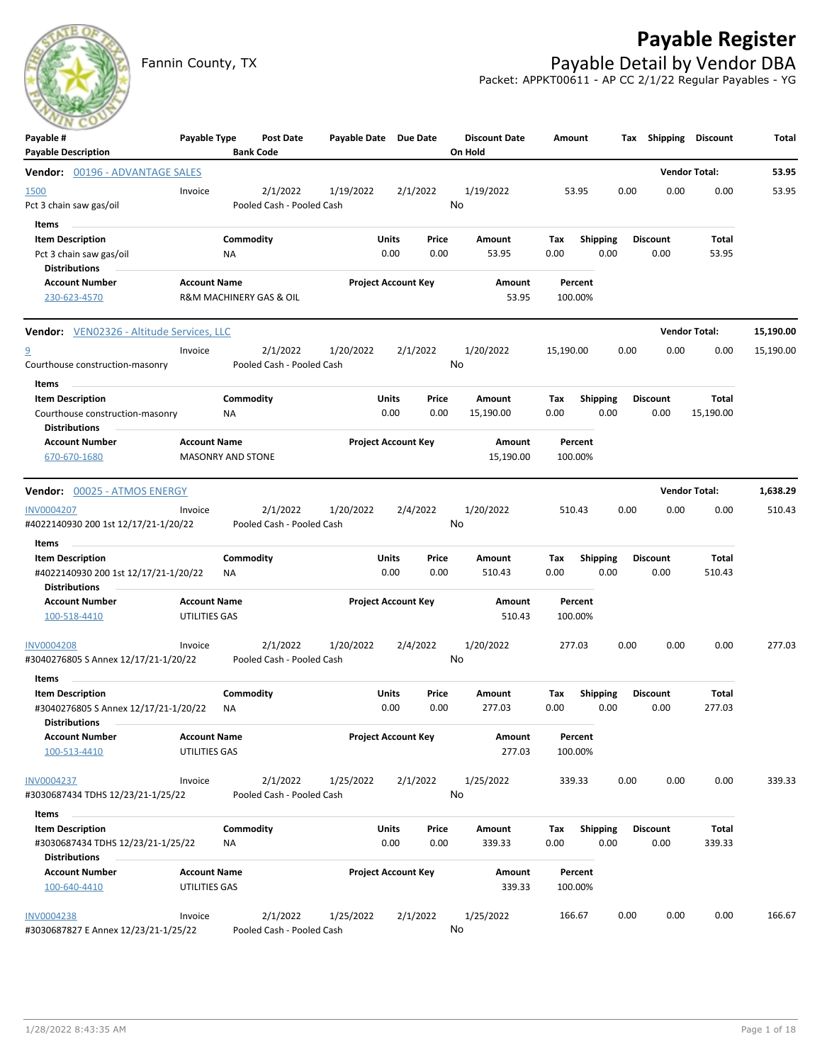## **Payable Register**



Fannin County, TX **Payable Detail by Vendor DBA** Packet: APPKT00611 - AP CC 2/1/22 Regular Payables - YG

| $\sim$<br>Payable #                                             | Payable Type                         |           | <b>Post Date</b>          | Payable Date Due Date |                            |          | <b>Discount Date</b> | Amount             |                 | Tax  | Shipping        | Discount             | Total     |
|-----------------------------------------------------------------|--------------------------------------|-----------|---------------------------|-----------------------|----------------------------|----------|----------------------|--------------------|-----------------|------|-----------------|----------------------|-----------|
| <b>Payable Description</b>                                      |                                      |           | <b>Bank Code</b>          |                       |                            |          | On Hold              |                    |                 |      |                 |                      |           |
| Vendor: 00196 - ADVANTAGE SALES                                 |                                      |           |                           |                       |                            |          |                      |                    |                 |      |                 | <b>Vendor Total:</b> | 53.95     |
| 1500                                                            | Invoice                              |           | 2/1/2022                  | 1/19/2022             |                            | 2/1/2022 | 1/19/2022            | 53.95              |                 | 0.00 | 0.00            | 0.00                 | 53.95     |
| Pct 3 chain saw gas/oil                                         |                                      |           | Pooled Cash - Pooled Cash |                       |                            |          | No                   |                    |                 |      |                 |                      |           |
| Items                                                           |                                      |           |                           |                       |                            |          |                      |                    |                 |      |                 |                      |           |
| <b>Item Description</b>                                         |                                      | Commodity |                           |                       | Units                      | Price    | Amount               | Tax                | <b>Shipping</b> |      | <b>Discount</b> | Total                |           |
| Pct 3 chain saw gas/oil<br><b>Distributions</b>                 |                                      | ΝA        |                           |                       | 0.00                       | 0.00     | 53.95                | 0.00               | 0.00            |      | 0.00            | 53.95                |           |
| <b>Account Number</b>                                           | <b>Account Name</b>                  |           |                           |                       | <b>Project Account Key</b> |          | Amount               | Percent            |                 |      |                 |                      |           |
| 230-623-4570                                                    |                                      |           | R&M MACHINERY GAS & OIL   |                       |                            |          | 53.95                | 100.00%            |                 |      |                 |                      |           |
|                                                                 |                                      |           |                           |                       |                            |          |                      |                    |                 |      |                 |                      |           |
| Vendor: VEN02326 - Altitude Services, LLC                       |                                      |           |                           |                       |                            |          |                      |                    |                 |      |                 | <b>Vendor Total:</b> | 15,190.00 |
| <u>១</u>                                                        | Invoice                              |           | 2/1/2022                  | 1/20/2022             |                            | 2/1/2022 | 1/20/2022            | 15,190.00          |                 | 0.00 | 0.00            | 0.00                 | 15,190.00 |
| Courthouse construction-masonry                                 |                                      |           | Pooled Cash - Pooled Cash |                       |                            |          | No                   |                    |                 |      |                 |                      |           |
| Items                                                           |                                      |           |                           |                       |                            |          |                      |                    |                 |      |                 |                      |           |
| <b>Item Description</b>                                         |                                      | Commodity |                           |                       | Units                      | Price    | Amount               | Tax                | <b>Shipping</b> |      | <b>Discount</b> | Total                |           |
| Courthouse construction-masonry                                 |                                      | ΝA        |                           |                       | 0.00                       | 0.00     | 15,190.00            | 0.00               | 0.00            |      | 0.00            | 15,190.00            |           |
| <b>Distributions</b><br><b>Account Number</b>                   | <b>Account Name</b>                  |           |                           |                       | <b>Project Account Key</b> |          | <b>Amount</b>        | Percent            |                 |      |                 |                      |           |
| 670-670-1680                                                    | <b>MASONRY AND STONE</b>             |           |                           |                       |                            |          | 15,190.00            | 100.00%            |                 |      |                 |                      |           |
|                                                                 |                                      |           |                           |                       |                            |          |                      |                    |                 |      |                 |                      |           |
| <b>Vendor:</b> 00025 - ATMOS ENERGY                             |                                      |           |                           |                       |                            |          |                      |                    |                 |      |                 | <b>Vendor Total:</b> | 1,638.29  |
| <b>INV0004207</b>                                               | Invoice                              |           | 2/1/2022                  | 1/20/2022             |                            | 2/4/2022 | 1/20/2022            | 510.43             |                 | 0.00 | 0.00            | 0.00                 | 510.43    |
| #4022140930 200 1st 12/17/21-1/20/22                            |                                      |           | Pooled Cash - Pooled Cash |                       |                            |          | No                   |                    |                 |      |                 |                      |           |
| Items                                                           |                                      | Commodity |                           |                       | Units                      | Price    | Amount               | Tax                | <b>Shipping</b> |      | <b>Discount</b> | Total                |           |
| <b>Item Description</b><br>#4022140930 200 1st 12/17/21-1/20/22 |                                      | ΝA        |                           |                       | 0.00                       | 0.00     | 510.43               | 0.00               | 0.00            |      | 0.00            | 510.43               |           |
| <b>Distributions</b>                                            |                                      |           |                           |                       |                            |          |                      |                    |                 |      |                 |                      |           |
| <b>Account Number</b>                                           | <b>Account Name</b>                  |           |                           |                       | <b>Project Account Key</b> |          | Amount               | Percent            |                 |      |                 |                      |           |
| 100-518-4410                                                    | UTILITIES GAS                        |           |                           |                       |                            |          | 510.43               | 100.00%            |                 |      |                 |                      |           |
| <b>INV0004208</b>                                               | Invoice                              |           | 2/1/2022                  | 1/20/2022             |                            | 2/4/2022 | 1/20/2022            | 277.03             |                 | 0.00 | 0.00            | 0.00                 | 277.03    |
| #3040276805 S Annex 12/17/21-1/20/22                            |                                      |           | Pooled Cash - Pooled Cash |                       |                            |          | No                   |                    |                 |      |                 |                      |           |
| Items                                                           |                                      |           |                           |                       |                            |          |                      |                    |                 |      |                 |                      |           |
| <b>Item Description</b>                                         |                                      | Commodity |                           |                       | Units                      | Price    | Amount               | Tax                | <b>Shipping</b> |      | <b>Discount</b> | Total                |           |
| #3040276805 S Annex 12/17/21-1/20/22                            |                                      | ΝA        |                           |                       | 0.00                       | 0.00     | 277.03               | 0.00               | 0.00            |      | 0.00            | 277.03               |           |
| <b>Distributions</b>                                            |                                      |           |                           |                       |                            |          |                      |                    |                 |      |                 |                      |           |
| <b>Account Number</b><br>100-513-4410                           | <b>Account Name</b><br>UTILITIES GAS |           |                           |                       | <b>Project Account Key</b> |          | Amount<br>277.03     | Percent<br>100.00% |                 |      |                 |                      |           |
| INV0004237                                                      | Invoice                              |           | 2/1/2022                  | 1/25/2022             |                            | 2/1/2022 | 1/25/2022            | 339.33             |                 | 0.00 | 0.00            | 0.00                 | 339.33    |
| #3030687434 TDHS 12/23/21-1/25/22                               |                                      |           | Pooled Cash - Pooled Cash |                       |                            |          | No                   |                    |                 |      |                 |                      |           |
| Items                                                           |                                      |           |                           |                       |                            |          |                      |                    |                 |      |                 |                      |           |
| <b>Item Description</b>                                         |                                      | Commodity |                           |                       | <b>Units</b>               | Price    | Amount               | Tax                | <b>Shipping</b> |      | <b>Discount</b> | Total                |           |
| #3030687434 TDHS 12/23/21-1/25/22                               |                                      | ΝA        |                           |                       | 0.00                       | 0.00     | 339.33               | 0.00               | 0.00            |      | 0.00            | 339.33               |           |
| <b>Distributions</b>                                            |                                      |           |                           |                       |                            |          |                      |                    |                 |      |                 |                      |           |
| <b>Account Number</b>                                           | <b>Account Name</b>                  |           |                           |                       | <b>Project Account Key</b> |          | Amount               | Percent            |                 |      |                 |                      |           |
| 100-640-4410                                                    | UTILITIES GAS                        |           |                           |                       |                            |          | 339.33               | 100.00%            |                 |      |                 |                      |           |
| <b>INV0004238</b>                                               | Invoice                              |           | 2/1/2022                  | 1/25/2022             |                            | 2/1/2022 | 1/25/2022            | 166.67             |                 | 0.00 | 0.00            | 0.00                 | 166.67    |
| #3030687827 E Annex 12/23/21-1/25/22                            |                                      |           | Pooled Cash - Pooled Cash |                       |                            |          | No                   |                    |                 |      |                 |                      |           |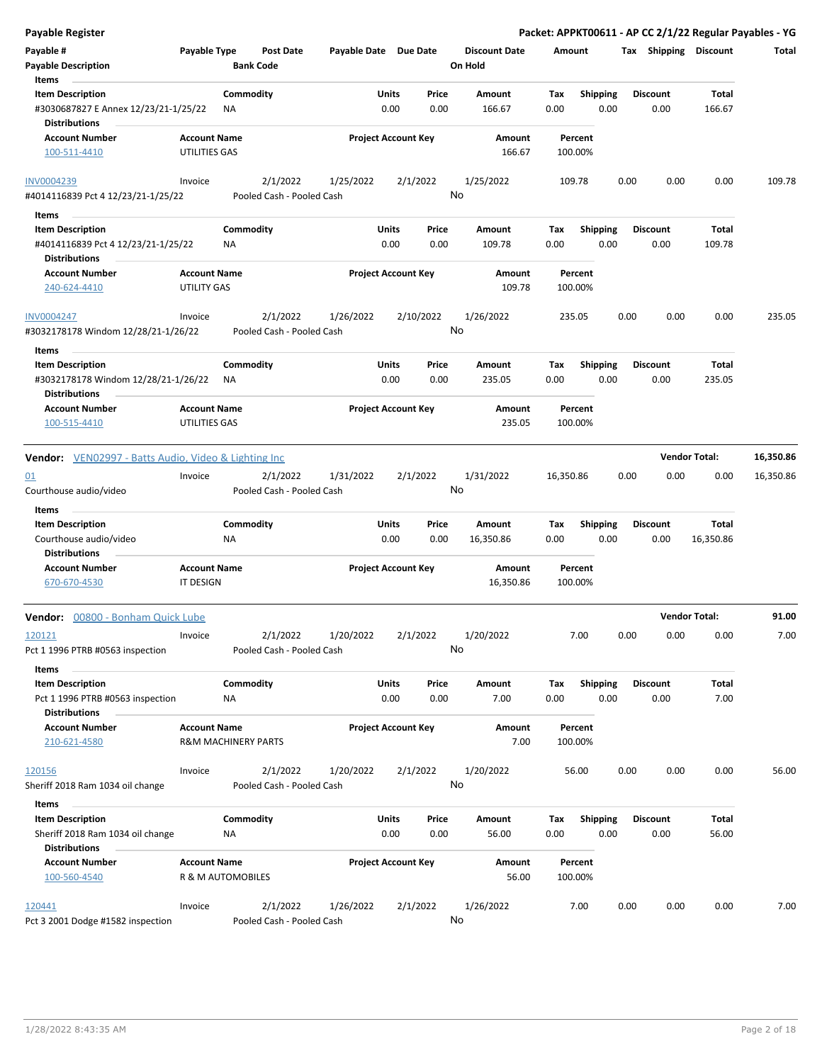| Payable Register                                                                      |                                      |                                       |                       |                            |               |                                 |             |                         |      |                         | Packet: APPKT00611 - AP CC 2/1/22 Regular Payables - YG |           |
|---------------------------------------------------------------------------------------|--------------------------------------|---------------------------------------|-----------------------|----------------------------|---------------|---------------------------------|-------------|-------------------------|------|-------------------------|---------------------------------------------------------|-----------|
| Payable #<br><b>Payable Description</b>                                               | Payable Type                         | <b>Post Date</b><br><b>Bank Code</b>  | Payable Date Due Date |                            |               | <b>Discount Date</b><br>On Hold | Amount      |                         |      | Tax Shipping Discount   |                                                         | Total     |
| Items<br><b>Item Description</b>                                                      |                                      | Commodity                             |                       | Units                      | Price         | Amount                          | Tax         | <b>Shipping</b>         |      | <b>Discount</b>         | <b>Total</b>                                            |           |
| #3030687827 E Annex 12/23/21-1/25/22<br><b>Distributions</b>                          |                                      | ΝA                                    |                       | 0.00                       | 0.00          | 166.67                          | 0.00        | 0.00                    |      | 0.00                    | 166.67                                                  |           |
| <b>Account Number</b><br>100-511-4410                                                 | <b>Account Name</b><br>UTILITIES GAS |                                       |                       | <b>Project Account Key</b> |               | Amount<br>166.67                | 100.00%     | Percent                 |      |                         |                                                         |           |
| INV0004239                                                                            | Invoice                              | 2/1/2022                              | 1/25/2022             |                            | 2/1/2022      | 1/25/2022                       | 109.78      |                         | 0.00 | 0.00                    | 0.00                                                    | 109.78    |
| #4014116839 Pct 4 12/23/21-1/25/22                                                    |                                      | Pooled Cash - Pooled Cash             |                       |                            |               | No                              |             |                         |      |                         |                                                         |           |
| Items                                                                                 |                                      |                                       |                       |                            |               |                                 |             |                         |      |                         |                                                         |           |
| <b>Item Description</b><br>#4014116839 Pct 4 12/23/21-1/25/22<br><b>Distributions</b> |                                      | Commodity<br>ΝA                       |                       | Units<br>0.00              | Price<br>0.00 | Amount<br>109.78                | Tax<br>0.00 | <b>Shipping</b><br>0.00 |      | <b>Discount</b><br>0.00 | <b>Total</b><br>109.78                                  |           |
| <b>Account Number</b><br>240-624-4410                                                 | <b>Account Name</b><br>UTILITY GAS   |                                       |                       | <b>Project Account Key</b> |               | Amount<br>109.78                | 100.00%     | Percent                 |      |                         |                                                         |           |
| <b>INV0004247</b><br>#3032178178 Windom 12/28/21-1/26/22                              | Invoice                              | 2/1/2022<br>Pooled Cash - Pooled Cash | 1/26/2022             |                            | 2/10/2022     | 1/26/2022<br>No                 | 235.05      |                         | 0.00 | 0.00                    | 0.00                                                    | 235.05    |
| Items                                                                                 |                                      |                                       |                       |                            |               |                                 |             |                         |      |                         |                                                         |           |
| <b>Item Description</b><br>#3032178178 Windom 12/28/21-1/26/22                        |                                      | Commodity<br>ΝA                       |                       | Units<br>0.00              | Price<br>0.00 | Amount<br>235.05                | Tax<br>0.00 | <b>Shipping</b><br>0.00 |      | <b>Discount</b><br>0.00 | <b>Total</b><br>235.05                                  |           |
| <b>Distributions</b><br><b>Account Number</b><br>100-515-4410                         | <b>Account Name</b><br>UTILITIES GAS |                                       |                       | <b>Project Account Key</b> |               | Amount<br>235.05                | 100.00%     | Percent                 |      |                         |                                                         |           |
|                                                                                       |                                      |                                       |                       |                            |               |                                 |             |                         |      |                         |                                                         |           |
| Vendor: VEN02997 - Batts Audio, Video & Lighting Inc                                  |                                      |                                       |                       |                            |               |                                 |             |                         |      |                         | <b>Vendor Total:</b>                                    | 16,350.86 |
| 01<br>Courthouse audio/video                                                          | Invoice                              | 2/1/2022<br>Pooled Cash - Pooled Cash | 1/31/2022             |                            | 2/1/2022      | 1/31/2022<br>No                 | 16,350.86   |                         | 0.00 | 0.00                    | 0.00                                                    | 16,350.86 |
| Items                                                                                 |                                      |                                       |                       |                            |               |                                 |             |                         |      |                         |                                                         |           |
| <b>Item Description</b>                                                               |                                      | Commodity                             |                       | Units                      | Price         | Amount                          | Tax         | <b>Shipping</b>         |      | Discount                | <b>Total</b>                                            |           |
| Courthouse audio/video                                                                |                                      | ΝA                                    |                       | 0.00                       | 0.00          | 16,350.86                       | 0.00        | 0.00                    |      | 0.00                    | 16,350.86                                               |           |
| <b>Distributions</b><br><b>Account Number</b>                                         | <b>Account Name</b>                  |                                       |                       | <b>Project Account Key</b> |               | Amount                          |             | Percent                 |      |                         |                                                         |           |
| 670-670-4530                                                                          | IT DESIGN                            |                                       |                       |                            |               | 16,350.86                       | 100.00%     |                         |      |                         |                                                         |           |
| Vendor: 00800 - Bonham Quick Lube                                                     |                                      |                                       |                       |                            |               |                                 |             |                         |      |                         | <b>Vendor Total:</b>                                    | 91.00     |
| 120121                                                                                | Invoice                              | 2/1/2022                              | 1/20/2022             |                            | 2/1/2022      | 1/20/2022                       |             | 7.00                    | 0.00 | 0.00                    | 0.00                                                    | 7.00      |
| Pct 1 1996 PTRB #0563 inspection                                                      |                                      | Pooled Cash - Pooled Cash             |                       |                            |               | No                              |             |                         |      |                         |                                                         |           |
| Items                                                                                 |                                      |                                       |                       |                            |               |                                 |             |                         |      |                         |                                                         |           |
| <b>Item Description</b><br>Pct 1 1996 PTRB #0563 inspection                           |                                      | Commodity<br>NA                       |                       | Units<br>0.00              | Price<br>0.00 | Amount<br>7.00                  | Tax<br>0.00 | Shipping<br>0.00        |      | <b>Discount</b><br>0.00 | Total<br>7.00                                           |           |
| <b>Distributions</b><br><b>Account Number</b><br>210-621-4580                         | <b>Account Name</b>                  | <b>R&amp;M MACHINERY PARTS</b>        |                       | <b>Project Account Key</b> |               | Amount<br>7.00                  | 100.00%     | Percent                 |      |                         |                                                         |           |
|                                                                                       |                                      |                                       |                       |                            |               |                                 |             |                         |      |                         |                                                         |           |
| 120156<br>Sheriff 2018 Ram 1034 oil change                                            | Invoice                              | 2/1/2022<br>Pooled Cash - Pooled Cash | 1/20/2022             |                            | 2/1/2022      | 1/20/2022<br>No                 |             | 56.00                   | 0.00 | 0.00                    | 0.00                                                    | 56.00     |
| Items                                                                                 |                                      |                                       |                       |                            |               |                                 |             |                         |      |                         |                                                         |           |
| <b>Item Description</b><br>Sheriff 2018 Ram 1034 oil change<br><b>Distributions</b>   |                                      | Commodity<br>ΝA                       |                       | Units<br>0.00              | Price<br>0.00 | Amount<br>56.00                 | Tax<br>0.00 | <b>Shipping</b><br>0.00 |      | <b>Discount</b><br>0.00 | Total<br>56.00                                          |           |
| <b>Account Number</b><br>100-560-4540                                                 | <b>Account Name</b>                  | R & M AUTOMOBILES                     |                       | <b>Project Account Key</b> |               | Amount<br>56.00                 | 100.00%     | Percent                 |      |                         |                                                         |           |
| 120441<br>Pct 3 2001 Dodge #1582 inspection                                           | Invoice                              | 2/1/2022<br>Pooled Cash - Pooled Cash | 1/26/2022             |                            | 2/1/2022      | 1/26/2022<br>No                 |             | 7.00                    | 0.00 | 0.00                    | 0.00                                                    | 7.00      |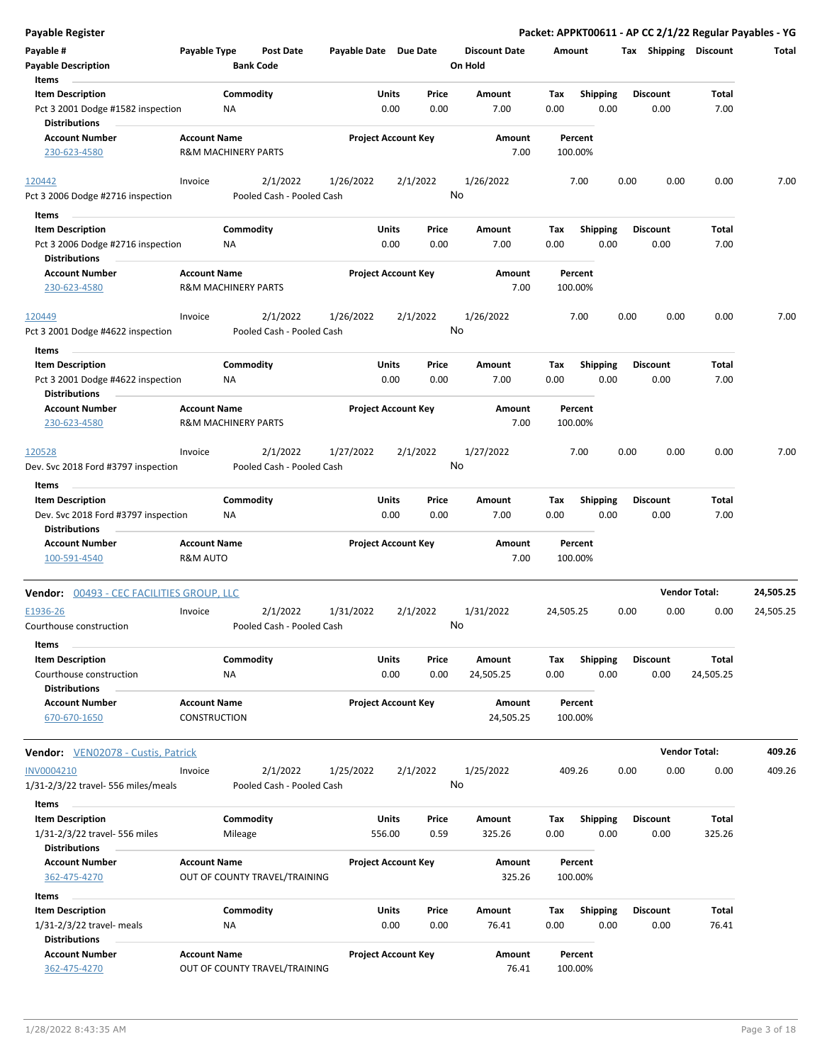| <b>Payable Register</b>                                                                |                                                       |                 |                                       |                       |               |                            |               |                                 |             |                         |      | Packet: APPKT00611 - AP CC 2/1/22 Regular Payables - YG |                      |           |
|----------------------------------------------------------------------------------------|-------------------------------------------------------|-----------------|---------------------------------------|-----------------------|---------------|----------------------------|---------------|---------------------------------|-------------|-------------------------|------|---------------------------------------------------------|----------------------|-----------|
| Payable #<br><b>Payable Description</b>                                                | Payable Type                                          |                 | <b>Post Date</b><br><b>Bank Code</b>  | Payable Date Due Date |               |                            |               | <b>Discount Date</b><br>On Hold | Amount      |                         |      | Tax Shipping Discount                                   |                      | Total     |
| Items                                                                                  |                                                       |                 |                                       |                       |               |                            |               |                                 |             |                         |      |                                                         |                      |           |
| <b>Item Description</b>                                                                |                                                       | Commodity       |                                       |                       | Units         |                            | Price         | Amount                          | Tax         | <b>Shipping</b>         |      | <b>Discount</b>                                         | Total                |           |
| Pct 3 2001 Dodge #1582 inspection<br><b>Distributions</b>                              |                                                       | ΝA              |                                       |                       | 0.00          |                            | 0.00          | 7.00                            | 0.00        | 0.00                    |      | 0.00                                                    | 7.00                 |           |
| <b>Account Number</b><br>230-623-4580                                                  | <b>Account Name</b><br>R&M MACHINERY PARTS            |                 |                                       |                       |               | <b>Project Account Key</b> |               | Amount<br>7.00                  |             | Percent<br>100.00%      |      |                                                         |                      |           |
|                                                                                        |                                                       |                 | 2/1/2022                              |                       |               |                            |               |                                 |             | 7.00                    | 0.00 | 0.00                                                    | 0.00                 | 7.00      |
| 120442<br>Pct 3 2006 Dodge #2716 inspection                                            | Invoice                                               |                 | Pooled Cash - Pooled Cash             | 1/26/2022             |               | 2/1/2022                   | No            | 1/26/2022                       |             |                         |      |                                                         |                      |           |
| Items                                                                                  |                                                       |                 |                                       |                       |               |                            |               |                                 |             |                         |      |                                                         |                      |           |
| <b>Item Description</b>                                                                |                                                       | Commodity       |                                       |                       | Units         |                            | Price         | Amount                          | Тах         | Shipping                |      | <b>Discount</b>                                         | Total                |           |
| Pct 3 2006 Dodge #2716 inspection<br><b>Distributions</b>                              |                                                       | NA              |                                       |                       | 0.00          |                            | 0.00          | 7.00                            | 0.00        | 0.00                    |      | 0.00                                                    | 7.00                 |           |
| <b>Account Number</b><br>230-623-4580                                                  | <b>Account Name</b><br>R&M MACHINERY PARTS            |                 |                                       |                       |               | <b>Project Account Key</b> |               | Amount<br>7.00                  |             | Percent<br>100.00%      |      |                                                         |                      |           |
| 120449<br>Pct 3 2001 Dodge #4622 inspection                                            | Invoice                                               |                 | 2/1/2022<br>Pooled Cash - Pooled Cash | 1/26/2022             |               | 2/1/2022                   | No            | 1/26/2022                       |             | 7.00                    | 0.00 | 0.00                                                    | 0.00                 | 7.00      |
|                                                                                        |                                                       |                 |                                       |                       |               |                            |               |                                 |             |                         |      |                                                         |                      |           |
| Items<br><b>Item Description</b><br>Pct 3 2001 Dodge #4622 inspection                  |                                                       | Commodity<br>ΝA |                                       |                       | Units<br>0.00 |                            | Price<br>0.00 | Amount<br>7.00                  | Tax<br>0.00 | <b>Shipping</b><br>0.00 |      | <b>Discount</b><br>0.00                                 | Total<br>7.00        |           |
| <b>Distributions</b><br><b>Account Number</b><br>230-623-4580                          | <b>Account Name</b><br><b>R&amp;M MACHINERY PARTS</b> |                 |                                       |                       |               | <b>Project Account Key</b> |               | Amount<br>7.00                  |             | Percent<br>100.00%      |      |                                                         |                      |           |
|                                                                                        |                                                       |                 |                                       |                       |               |                            |               |                                 |             |                         |      |                                                         |                      |           |
| 120528                                                                                 | Invoice                                               |                 | 2/1/2022                              | 1/27/2022             |               | 2/1/2022                   | No            | 1/27/2022                       |             | 7.00                    | 0.00 | 0.00                                                    | 0.00                 | 7.00      |
| Dev. Svc 2018 Ford #3797 inspection                                                    |                                                       |                 | Pooled Cash - Pooled Cash             |                       |               |                            |               |                                 |             |                         |      |                                                         |                      |           |
| Items                                                                                  |                                                       |                 |                                       |                       |               |                            |               |                                 |             |                         |      |                                                         |                      |           |
| <b>Item Description</b><br>Dev. Svc 2018 Ford #3797 inspection<br><b>Distributions</b> |                                                       | Commodity<br>NA |                                       |                       | Units<br>0.00 |                            | Price<br>0.00 | Amount<br>7.00                  | Tax<br>0.00 | <b>Shipping</b><br>0.00 |      | <b>Discount</b><br>0.00                                 | Total<br>7.00        |           |
| <b>Account Number</b><br>100-591-4540                                                  | <b>Account Name</b><br><b>R&amp;M AUTO</b>            |                 |                                       |                       |               | <b>Project Account Key</b> |               | Amount<br>7.00                  |             | Percent<br>100.00%      |      |                                                         |                      |           |
| Vendor: 00493 - CEC FACILITIES GROUP, LLC                                              |                                                       |                 |                                       |                       |               |                            |               |                                 |             |                         |      |                                                         | <b>Vendor Total:</b> | 24,505.25 |
| E1936-26                                                                               | Invoice                                               |                 | 2/1/2022                              | 1/31/2022             |               | 2/1/2022                   |               | 1/31/2022                       | 24,505.25   |                         | 0.00 | 0.00                                                    | 0.00                 | 24,505.25 |
| Courthouse construction                                                                |                                                       |                 | Pooled Cash - Pooled Cash             |                       |               |                            | No            |                                 |             |                         |      |                                                         |                      |           |
| Items<br><b>Item Description</b>                                                       |                                                       | Commodity       |                                       |                       | Units         |                            | Price         | Amount                          | Tax         | <b>Shipping</b>         |      | <b>Discount</b>                                         | Total                |           |
| Courthouse construction<br><b>Distributions</b>                                        |                                                       | NA              |                                       |                       | 0.00          |                            | 0.00          | 24,505.25                       | 0.00        | 0.00                    |      | 0.00                                                    | 24,505.25            |           |
| <b>Account Number</b><br>670-670-1650                                                  | <b>Account Name</b><br>CONSTRUCTION                   |                 |                                       |                       |               | <b>Project Account Key</b> |               | Amount<br>24,505.25             |             | Percent<br>100.00%      |      |                                                         |                      |           |
| <b>Vendor:</b> VEN02078 - Custis, Patrick                                              |                                                       |                 |                                       |                       |               |                            |               |                                 |             |                         |      |                                                         | <b>Vendor Total:</b> | 409.26    |
| INV0004210<br>1/31-2/3/22 travel- 556 miles/meals                                      | Invoice                                               |                 | 2/1/2022<br>Pooled Cash - Pooled Cash | 1/25/2022             |               | 2/1/2022                   | No            | 1/25/2022                       |             | 409.26                  | 0.00 | 0.00                                                    | 0.00                 | 409.26    |
| Items                                                                                  |                                                       |                 |                                       |                       |               |                            |               |                                 |             |                         |      |                                                         |                      |           |
| <b>Item Description</b>                                                                |                                                       | Commodity       |                                       |                       | <b>Units</b>  |                            | Price         | Amount                          | Tax         | <b>Shipping</b>         |      | <b>Discount</b>                                         | Total                |           |
| 1/31-2/3/22 travel- 556 miles<br><b>Distributions</b>                                  |                                                       | Mileage         |                                       |                       | 556.00        |                            | 0.59          | 325.26                          | 0.00        | 0.00                    |      | 0.00                                                    | 325.26               |           |
| <b>Account Number</b><br>362-475-4270                                                  | <b>Account Name</b>                                   |                 | OUT OF COUNTY TRAVEL/TRAINING         |                       |               | <b>Project Account Key</b> |               | Amount<br>325.26                |             | Percent<br>100.00%      |      |                                                         |                      |           |
| Items                                                                                  |                                                       |                 |                                       |                       |               |                            |               |                                 |             |                         |      |                                                         |                      |           |
| <b>Item Description</b>                                                                |                                                       | Commodity       |                                       |                       | Units         |                            | Price         | Amount                          | Tax         | Shipping                |      | <b>Discount</b>                                         | Total                |           |
| 1/31-2/3/22 travel- meals<br><b>Distributions</b>                                      |                                                       | ΝA              |                                       |                       | 0.00          |                            | 0.00          | 76.41                           | 0.00        | 0.00                    |      | 0.00                                                    | 76.41                |           |
| <b>Account Number</b><br>362-475-4270                                                  | <b>Account Name</b>                                   |                 | OUT OF COUNTY TRAVEL/TRAINING         |                       |               | <b>Project Account Key</b> |               | Amount<br>76.41                 |             | Percent<br>100.00%      |      |                                                         |                      |           |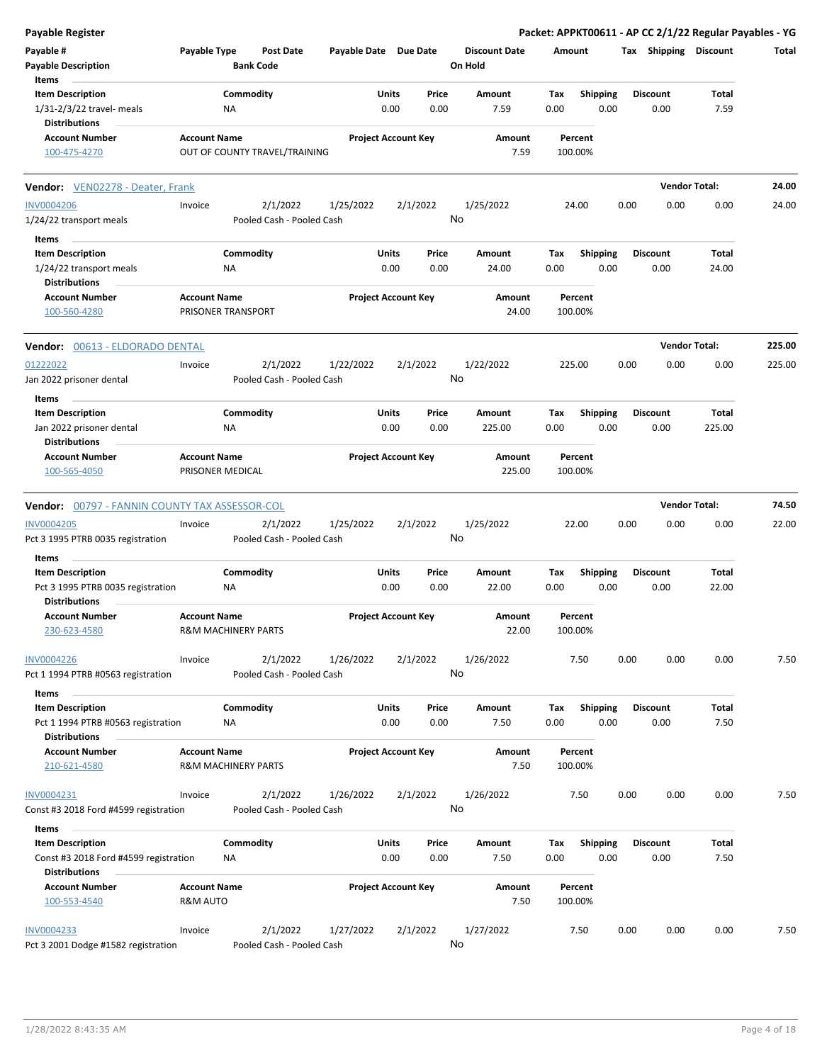| <b>Payable Register</b>                                       |                                         |                                       |                       |                            |               |                                 |             |                         |      |                         | Packet: APPKT00611 - AP CC 2/1/22 Regular Payables - YG |        |
|---------------------------------------------------------------|-----------------------------------------|---------------------------------------|-----------------------|----------------------------|---------------|---------------------------------|-------------|-------------------------|------|-------------------------|---------------------------------------------------------|--------|
| Payable #<br><b>Payable Description</b>                       | Payable Type                            | <b>Post Date</b><br><b>Bank Code</b>  | Payable Date Due Date |                            |               | <b>Discount Date</b><br>On Hold | Amount      |                         |      | Tax Shipping Discount   |                                                         | Total  |
| Items<br><b>Item Description</b>                              |                                         | Commodity                             |                       | Units                      | Price         | Amount                          | Tax         | <b>Shipping</b>         |      | <b>Discount</b>         | Total                                                   |        |
| 1/31-2/3/22 travel- meals<br><b>Distributions</b>             |                                         | NA                                    |                       | 0.00                       | 0.00          | 7.59                            | 0.00        | 0.00                    |      | 0.00                    | 7.59                                                    |        |
| <b>Account Number</b>                                         | <b>Account Name</b>                     |                                       |                       | <b>Project Account Key</b> |               | Amount                          |             | Percent                 |      |                         |                                                         |        |
| 100-475-4270                                                  |                                         | OUT OF COUNTY TRAVEL/TRAINING         |                       |                            |               | 7.59                            |             | 100.00%                 |      |                         |                                                         |        |
| <b>Vendor:</b> VEN02278 - Deater, Frank                       |                                         |                                       |                       |                            |               |                                 |             |                         |      |                         | <b>Vendor Total:</b>                                    | 24.00  |
| <b>INV0004206</b>                                             | Invoice                                 | 2/1/2022                              | 1/25/2022             | 2/1/2022                   |               | 1/25/2022                       |             | 24.00                   | 0.00 | 0.00                    | 0.00                                                    | 24.00  |
| 1/24/22 transport meals                                       |                                         | Pooled Cash - Pooled Cash             |                       |                            |               | No                              |             |                         |      |                         |                                                         |        |
| Items                                                         |                                         |                                       |                       |                            |               |                                 |             |                         |      |                         |                                                         |        |
| <b>Item Description</b>                                       |                                         | Commodity                             |                       | Units                      | Price         | Amount                          | Tax         | <b>Shipping</b>         |      | <b>Discount</b>         | Total                                                   |        |
| 1/24/22 transport meals<br><b>Distributions</b>               |                                         | ΝA                                    |                       | 0.00                       | 0.00          | 24.00                           | 0.00        | 0.00                    |      | 0.00                    | 24.00                                                   |        |
| <b>Account Number</b><br>100-560-4280                         | <b>Account Name</b>                     | PRISONER TRANSPORT                    |                       | <b>Project Account Key</b> |               | Amount<br>24.00                 |             | Percent<br>100.00%      |      |                         |                                                         |        |
| Vendor: 00613 - ELDORADO DENTAL                               |                                         |                                       |                       |                            |               |                                 |             |                         |      |                         | <b>Vendor Total:</b>                                    | 225.00 |
| 01222022<br>Jan 2022 prisoner dental                          | Invoice                                 | 2/1/2022<br>Pooled Cash - Pooled Cash | 1/22/2022             | 2/1/2022                   |               | 1/22/2022<br>No                 | 225.00      |                         | 0.00 | 0.00                    | 0.00                                                    | 225.00 |
| Items                                                         |                                         |                                       |                       |                            |               |                                 |             |                         |      |                         |                                                         |        |
| <b>Item Description</b><br>Jan 2022 prisoner dental           |                                         | Commodity<br>ΝA                       |                       | Units<br>0.00              | Price<br>0.00 | Amount<br>225.00                | Tax<br>0.00 | <b>Shipping</b><br>0.00 |      | <b>Discount</b><br>0.00 | Total<br>225.00                                         |        |
| <b>Distributions</b>                                          |                                         |                                       |                       |                            |               |                                 |             |                         |      |                         |                                                         |        |
| <b>Account Number</b><br>100-565-4050                         | <b>Account Name</b><br>PRISONER MEDICAL |                                       |                       | <b>Project Account Key</b> |               | Amount<br>225.00                |             | Percent<br>100.00%      |      |                         |                                                         |        |
| Vendor: 00797 - FANNIN COUNTY TAX ASSESSOR-COL                |                                         |                                       |                       |                            |               |                                 |             |                         |      |                         | <b>Vendor Total:</b>                                    | 74.50  |
| <b>INV0004205</b><br>Pct 3 1995 PTRB 0035 registration        | Invoice                                 | 2/1/2022<br>Pooled Cash - Pooled Cash | 1/25/2022             | 2/1/2022                   |               | 1/25/2022<br>No                 |             | 22.00                   | 0.00 | 0.00                    | 0.00                                                    | 22.00  |
| Items                                                         |                                         |                                       |                       |                            |               |                                 |             |                         |      |                         |                                                         |        |
| <b>Item Description</b>                                       |                                         | Commodity                             |                       | Units                      | Price         | Amount                          | Tax         | Shipping                |      | <b>Discount</b>         | Total                                                   |        |
| Pct 3 1995 PTRB 0035 registration<br><b>Distributions</b>     |                                         | NA                                    |                       | 0.00                       | 0.00          | 22.00                           | 0.00        | 0.00                    |      | 0.00                    | 22.00                                                   |        |
| <b>Account Number</b><br>230-623-4580                         | <b>Account Name</b>                     | R&M MACHINERY PARTS                   |                       | <b>Project Account Key</b> |               | Amount<br>22.00                 |             | Percent<br>100.00%      |      |                         |                                                         |        |
| <b>INV0004226</b><br>Pct 1 1994 PTRB #0563 registration       | Invoice                                 | 2/1/2022<br>Pooled Cash - Pooled Cash | 1/26/2022             | 2/1/2022                   |               | 1/26/2022<br>No                 |             | 7.50                    | 0.00 | 0.00                    | 0.00                                                    | 7.50   |
| Items                                                         |                                         |                                       |                       |                            |               |                                 |             |                         |      |                         |                                                         |        |
| <b>Item Description</b><br>Pct 1 1994 PTRB #0563 registration |                                         | Commodity<br>ΝA                       |                       | Units<br>0.00              | Price<br>0.00 | Amount<br>7.50                  | Tax<br>0.00 | <b>Shipping</b><br>0.00 |      | <b>Discount</b><br>0.00 | Total<br>7.50                                           |        |
| <b>Distributions</b>                                          |                                         |                                       |                       |                            |               |                                 |             |                         |      |                         |                                                         |        |
| <b>Account Number</b><br>210-621-4580                         | <b>Account Name</b>                     | <b>R&amp;M MACHINERY PARTS</b>        |                       | <b>Project Account Key</b> |               | Amount<br>7.50                  |             | Percent<br>100.00%      |      |                         |                                                         |        |
| INV0004231                                                    | Invoice                                 | 2/1/2022                              | 1/26/2022             | 2/1/2022                   |               | 1/26/2022                       |             | 7.50                    | 0.00 | 0.00                    | 0.00                                                    | 7.50   |
| Const #3 2018 Ford #4599 registration                         |                                         | Pooled Cash - Pooled Cash             |                       |                            |               | No                              |             |                         |      |                         |                                                         |        |
| Items                                                         |                                         |                                       |                       |                            |               |                                 |             |                         |      |                         |                                                         |        |
| <b>Item Description</b>                                       |                                         | Commodity                             |                       | Units                      | Price         | Amount                          | Tax         | <b>Shipping</b>         |      | <b>Discount</b>         | Total                                                   |        |
| Const #3 2018 Ford #4599 registration<br><b>Distributions</b> |                                         | NA                                    |                       | 0.00                       | 0.00          | 7.50                            | 0.00        | 0.00                    |      | 0.00                    | 7.50                                                    |        |
| <b>Account Number</b><br>100-553-4540                         | <b>Account Name</b><br>R&M AUTO         |                                       |                       | <b>Project Account Key</b> |               | Amount<br>7.50                  |             | Percent<br>100.00%      |      |                         |                                                         |        |
|                                                               |                                         |                                       |                       |                            |               |                                 |             |                         |      |                         |                                                         |        |
| <b>INV0004233</b><br>Pct 3 2001 Dodge #1582 registration      | Invoice                                 | 2/1/2022<br>Pooled Cash - Pooled Cash | 1/27/2022             | 2/1/2022                   |               | 1/27/2022<br>No                 |             | 7.50                    | 0.00 | 0.00                    | 0.00                                                    | 7.50   |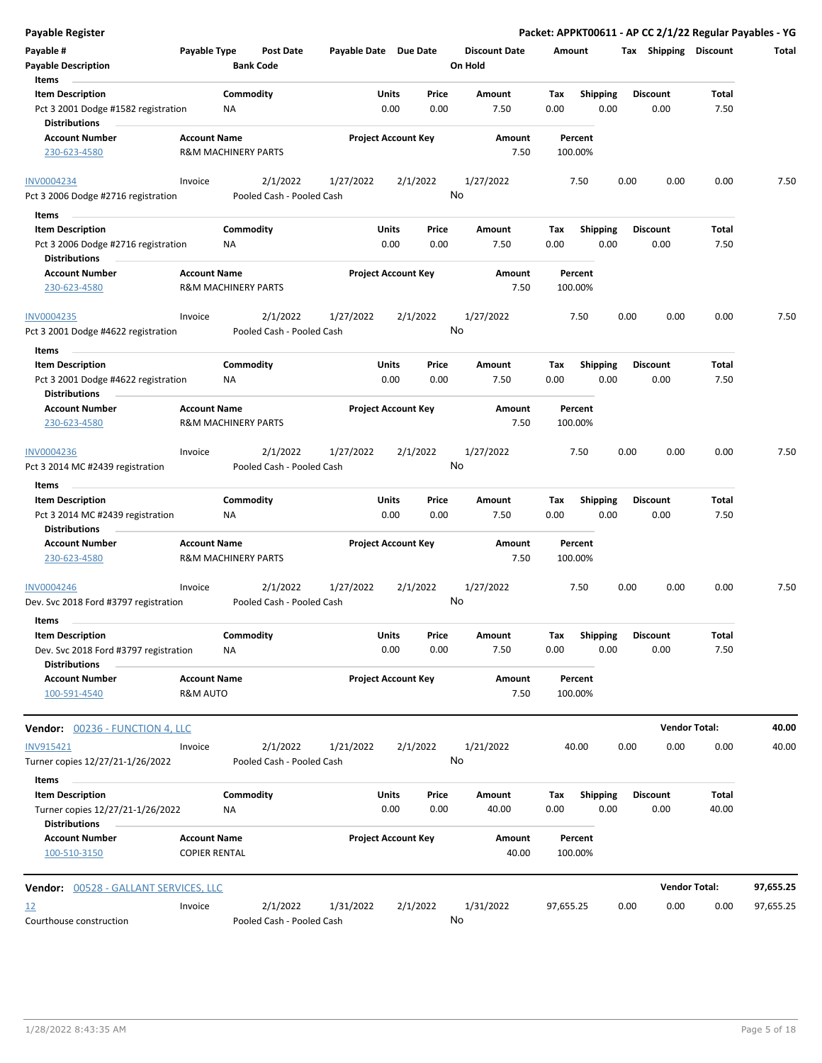| <b>Payable Register</b>                                                                  |                                             |                                |                                       |                       |                            |               |                                 |                    |                         |      |                         |                | Packet: APPKT00611 - AP CC 2/1/22 Regular Payables - YG |
|------------------------------------------------------------------------------------------|---------------------------------------------|--------------------------------|---------------------------------------|-----------------------|----------------------------|---------------|---------------------------------|--------------------|-------------------------|------|-------------------------|----------------|---------------------------------------------------------|
| Payable #<br><b>Payable Description</b>                                                  | Payable Type                                | <b>Bank Code</b>               | <b>Post Date</b>                      | Payable Date Due Date |                            |               | <b>Discount Date</b><br>On Hold | Amount             |                         |      | Tax Shipping Discount   |                | Total                                                   |
| Items                                                                                    |                                             | Commodity                      |                                       |                       | <b>Units</b>               | Price         | Amount                          |                    |                         |      | <b>Discount</b>         | Total          |                                                         |
| <b>Item Description</b><br>Pct 3 2001 Dodge #1582 registration<br><b>Distributions</b>   |                                             | ΝA                             |                                       |                       | 0.00                       | 0.00          | 7.50                            | Tax<br>0.00        | <b>Shipping</b><br>0.00 |      | 0.00                    | 7.50           |                                                         |
| <b>Account Number</b><br>230-623-4580                                                    | <b>Account Name</b>                         | <b>R&amp;M MACHINERY PARTS</b> |                                       |                       | <b>Project Account Key</b> |               | Amount<br>7.50                  | Percent<br>100.00% |                         |      |                         |                |                                                         |
|                                                                                          |                                             |                                |                                       |                       |                            |               |                                 |                    |                         |      |                         |                |                                                         |
| <b>INV0004234</b>                                                                        | Invoice                                     |                                | 2/1/2022                              | 1/27/2022             | 2/1/2022                   | No            | 1/27/2022                       |                    | 7.50                    | 0.00 | 0.00                    | 0.00           | 7.50                                                    |
| Pct 3 2006 Dodge #2716 registration                                                      |                                             |                                | Pooled Cash - Pooled Cash             |                       |                            |               |                                 |                    |                         |      |                         |                |                                                         |
| Items                                                                                    |                                             |                                |                                       |                       |                            |               |                                 |                    |                         |      |                         |                |                                                         |
| <b>Item Description</b><br>Pct 3 2006 Dodge #2716 registration<br><b>Distributions</b>   |                                             | Commodity<br>ΝA                |                                       |                       | Units<br>0.00              | Price<br>0.00 | Amount<br>7.50                  | Tax<br>0.00        | <b>Shipping</b><br>0.00 |      | <b>Discount</b><br>0.00 | Total<br>7.50  |                                                         |
| <b>Account Number</b><br>230-623-4580                                                    | <b>Account Name</b>                         | <b>R&amp;M MACHINERY PARTS</b> |                                       |                       | <b>Project Account Key</b> |               | Amount<br>7.50                  | 100.00%            | Percent                 |      |                         |                |                                                         |
| <b>INV0004235</b>                                                                        | Invoice                                     |                                | 2/1/2022                              | 1/27/2022             | 2/1/2022                   |               | 1/27/2022                       |                    | 7.50                    | 0.00 | 0.00                    | 0.00           | 7.50                                                    |
| Pct 3 2001 Dodge #4622 registration                                                      |                                             |                                | Pooled Cash - Pooled Cash             |                       |                            | No            |                                 |                    |                         |      |                         |                |                                                         |
| Items<br><b>Item Description</b>                                                         |                                             | Commodity                      |                                       |                       | Units                      | Price         | Amount                          | Tax                | <b>Shipping</b>         |      | <b>Discount</b>         | Total          |                                                         |
| Pct 3 2001 Dodge #4622 registration<br><b>Distributions</b>                              |                                             | ΝA                             |                                       |                       | 0.00                       | 0.00          | 7.50                            | 0.00               | 0.00                    |      | 0.00                    | 7.50           |                                                         |
| <b>Account Number</b><br>230-623-4580                                                    | <b>Account Name</b>                         | <b>R&amp;M MACHINERY PARTS</b> |                                       |                       | <b>Project Account Key</b> |               | Amount<br>7.50                  | Percent<br>100.00% |                         |      |                         |                |                                                         |
| INV0004236<br>Pct 3 2014 MC #2439 registration                                           | Invoice                                     |                                | 2/1/2022<br>Pooled Cash - Pooled Cash | 1/27/2022             | 2/1/2022                   | No            | 1/27/2022                       |                    | 7.50                    | 0.00 | 0.00                    | 0.00           | 7.50                                                    |
| Items                                                                                    |                                             |                                |                                       |                       |                            |               |                                 |                    |                         |      |                         |                |                                                         |
| <b>Item Description</b><br>Pct 3 2014 MC #2439 registration<br><b>Distributions</b>      |                                             | Commodity<br>ΝA                |                                       |                       | Units<br>0.00              | Price<br>0.00 | Amount<br>7.50                  | Tax<br>0.00        | <b>Shipping</b><br>0.00 |      | <b>Discount</b><br>0.00 | Total<br>7.50  |                                                         |
| <b>Account Number</b><br>230-623-4580                                                    | <b>Account Name</b>                         | <b>R&amp;M MACHINERY PARTS</b> |                                       |                       | <b>Project Account Key</b> |               | Amount<br>7.50                  | Percent<br>100.00% |                         |      |                         |                |                                                         |
| <b>INV0004246</b><br>Dev. Svc 2018 Ford #3797 registration                               | Invoice                                     |                                | 2/1/2022<br>Pooled Cash - Pooled Cash | 1/27/2022             | 2/1/2022                   | No            | 1/27/2022                       |                    | 7.50                    | 0.00 | 0.00                    | 0.00           | 7.50                                                    |
| Items                                                                                    |                                             |                                |                                       |                       |                            |               |                                 |                    |                         |      |                         |                |                                                         |
| <b>Item Description</b><br>Dev. Svc 2018 Ford #3797 registration<br><b>Distributions</b> |                                             | Commodity<br><b>NA</b>         |                                       |                       | Units<br>0.00              | Price<br>0.00 | Amount<br>7.50                  | Tax<br>0.00        | <b>Shipping</b><br>0.00 |      | <b>Discount</b><br>0.00 | Total<br>7.50  |                                                         |
| <b>Account Number</b><br>100-591-4540                                                    | <b>Account Name</b><br>R&M AUTO             |                                |                                       |                       | <b>Project Account Key</b> |               | Amount<br>7.50                  | 100.00%            | Percent                 |      |                         |                |                                                         |
| <b>Vendor: 00236 - FUNCTION 4, LLC</b>                                                   |                                             |                                |                                       |                       |                            |               |                                 |                    |                         |      | <b>Vendor Total:</b>    |                | 40.00                                                   |
| INV915421<br>Turner copies 12/27/21-1/26/2022                                            | Invoice                                     |                                | 2/1/2022<br>Pooled Cash - Pooled Cash | 1/21/2022             | 2/1/2022                   | No            | 1/21/2022                       |                    | 40.00                   | 0.00 | 0.00                    | 0.00           | 40.00                                                   |
| Items                                                                                    |                                             |                                |                                       |                       |                            |               |                                 |                    |                         |      |                         |                |                                                         |
| <b>Item Description</b><br>Turner copies 12/27/21-1/26/2022<br><b>Distributions</b>      |                                             | Commodity<br>ΝA                |                                       |                       | <b>Units</b><br>0.00       | Price<br>0.00 | Amount<br>40.00                 | Tax<br>0.00        | <b>Shipping</b><br>0.00 |      | <b>Discount</b><br>0.00 | Total<br>40.00 |                                                         |
| <b>Account Number</b><br>100-510-3150                                                    | <b>Account Name</b><br><b>COPIER RENTAL</b> |                                |                                       |                       | <b>Project Account Key</b> |               | Amount<br>40.00                 | 100.00%            | Percent                 |      |                         |                |                                                         |
| <b>Vendor: 00528 - GALLANT SERVICES, LLC</b>                                             |                                             |                                |                                       |                       |                            |               |                                 |                    |                         |      | <b>Vendor Total:</b>    |                | 97,655.25                                               |
| <u>12</u>                                                                                | Invoice                                     |                                | 2/1/2022                              | 1/31/2022             | 2/1/2022                   |               | 1/31/2022                       | 97,655.25          |                         | 0.00 | 0.00                    | 0.00           | 97,655.25                                               |
| Courthouse construction                                                                  |                                             |                                | Pooled Cash - Pooled Cash             |                       |                            | No            |                                 |                    |                         |      |                         |                |                                                         |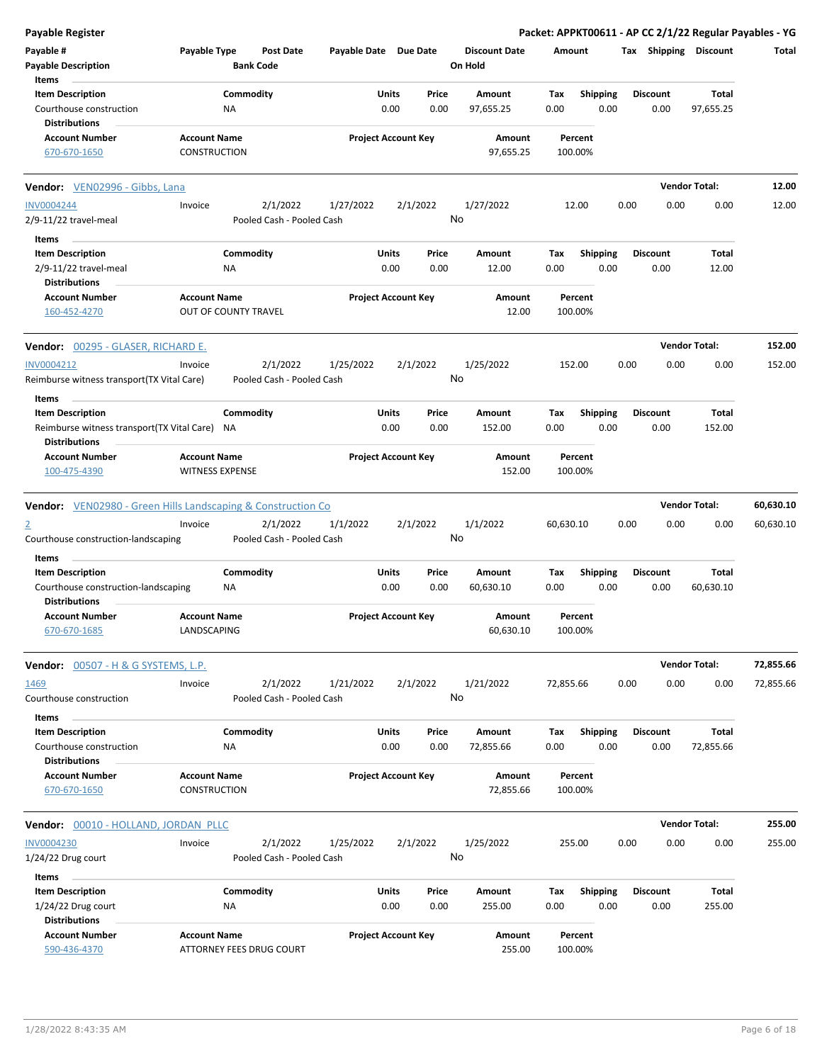| <b>Payable Register</b>                                                                |                                               |                             |                                       |                       |                            |               |                                 |             |                         |      |                         |                       | Packet: APPKT00611 - AP CC 2/1/22 Regular Payables - YG |
|----------------------------------------------------------------------------------------|-----------------------------------------------|-----------------------------|---------------------------------------|-----------------------|----------------------------|---------------|---------------------------------|-------------|-------------------------|------|-------------------------|-----------------------|---------------------------------------------------------|
| Payable #<br><b>Payable Description</b>                                                | Payable Type                                  | <b>Bank Code</b>            | <b>Post Date</b>                      | Payable Date Due Date |                            |               | <b>Discount Date</b><br>On Hold | Amount      |                         |      |                         | Tax Shipping Discount | Total                                                   |
| Items                                                                                  |                                               |                             |                                       |                       |                            |               |                                 |             |                         |      |                         |                       |                                                         |
| <b>Item Description</b><br>Courthouse construction                                     |                                               | Commodity<br>ΝA             |                                       |                       | Units<br>0.00              | Price<br>0.00 | Amount<br>97,655.25             | Tax<br>0.00 | <b>Shipping</b><br>0.00 |      | <b>Discount</b><br>0.00 | Total<br>97,655.25    |                                                         |
| <b>Distributions</b><br><b>Account Number</b>                                          | <b>Account Name</b>                           |                             |                                       |                       | <b>Project Account Key</b> |               | Amount<br>97,655.25             |             | Percent<br>100.00%      |      |                         |                       |                                                         |
| 670-670-1650                                                                           | <b>CONSTRUCTION</b>                           |                             |                                       |                       |                            |               |                                 |             |                         |      |                         |                       |                                                         |
| Vendor: VEN02996 - Gibbs, Lana                                                         |                                               |                             |                                       |                       |                            |               |                                 |             |                         |      |                         | <b>Vendor Total:</b>  | 12.00                                                   |
| <b>INV0004244</b>                                                                      | Invoice                                       |                             | 2/1/2022                              | 1/27/2022             |                            | 2/1/2022      | 1/27/2022                       |             | 12.00                   | 0.00 | 0.00                    | 0.00                  | 12.00                                                   |
| 2/9-11/22 travel-meal                                                                  |                                               |                             | Pooled Cash - Pooled Cash             |                       |                            |               | No                              |             |                         |      |                         |                       |                                                         |
| Items                                                                                  |                                               |                             |                                       |                       |                            |               |                                 |             |                         |      |                         |                       |                                                         |
| <b>Item Description</b>                                                                |                                               | Commodity                   |                                       |                       | Units                      | Price         | Amount                          | Tax         | <b>Shipping</b>         |      | <b>Discount</b>         | Total                 |                                                         |
| 2/9-11/22 travel-meal<br><b>Distributions</b>                                          |                                               | ΝA                          |                                       |                       | 0.00                       | 0.00          | 12.00                           | 0.00        | 0.00                    |      | 0.00                    | 12.00                 |                                                         |
| <b>Account Number</b><br>160-452-4270                                                  | <b>Account Name</b>                           | <b>OUT OF COUNTY TRAVEL</b> |                                       |                       | <b>Project Account Key</b> |               | Amount<br>12.00                 |             | Percent<br>100.00%      |      |                         |                       |                                                         |
| Vendor: 00295 - GLASER, RICHARD E.                                                     |                                               |                             |                                       |                       |                            |               |                                 |             |                         |      |                         | <b>Vendor Total:</b>  | 152.00                                                  |
| INV0004212                                                                             | Invoice                                       |                             | 2/1/2022                              | 1/25/2022             |                            | 2/1/2022      | 1/25/2022                       | 152.00      |                         | 0.00 | 0.00                    | 0.00                  | 152.00                                                  |
| Reimburse witness transport (TX Vital Care)                                            |                                               |                             | Pooled Cash - Pooled Cash             |                       |                            |               | No                              |             |                         |      |                         |                       |                                                         |
| Items                                                                                  |                                               |                             |                                       |                       |                            |               |                                 |             |                         |      |                         |                       |                                                         |
| <b>Item Description</b>                                                                |                                               | Commodity                   |                                       |                       | Units                      | Price         | Amount                          | Tax         | <b>Shipping</b>         |      | <b>Discount</b>         | Total                 |                                                         |
| Reimburse witness transport(TX Vital Care) NA<br><b>Distributions</b>                  |                                               |                             |                                       |                       | 0.00                       | 0.00          | 152.00                          | 0.00        | 0.00                    |      | 0.00                    | 152.00                |                                                         |
| <b>Account Number</b><br>100-475-4390                                                  | <b>Account Name</b><br><b>WITNESS EXPENSE</b> |                             |                                       |                       | <b>Project Account Key</b> |               | Amount<br>152.00                |             | Percent<br>100.00%      |      |                         |                       |                                                         |
|                                                                                        |                                               |                             |                                       |                       |                            |               |                                 |             |                         |      |                         |                       |                                                         |
| <b>Vendor:</b> VEN02980 - Green Hills Landscaping & Construction Co                    |                                               |                             |                                       |                       |                            |               |                                 |             |                         |      |                         | <b>Vendor Total:</b>  | 60,630.10                                               |
| $\overline{2}$<br>Courthouse construction-landscaping                                  | Invoice                                       |                             | 2/1/2022<br>Pooled Cash - Pooled Cash | 1/1/2022              |                            | 2/1/2022      | 1/1/2022<br>No                  | 60,630.10   |                         | 0.00 | 0.00                    | 0.00                  | 60,630.10                                               |
|                                                                                        |                                               |                             |                                       |                       |                            |               |                                 |             |                         |      |                         |                       |                                                         |
| Items                                                                                  |                                               |                             |                                       |                       | Units                      |               |                                 |             |                         |      | <b>Discount</b>         | Total                 |                                                         |
| <b>Item Description</b><br>Courthouse construction-landscaping<br><b>Distributions</b> |                                               | Commodity<br>ΝA             |                                       |                       | 0.00                       | Price<br>0.00 | Amount<br>60,630.10             | Tax<br>0.00 | <b>Shipping</b><br>0.00 |      | 0.00                    | 60,630.10             |                                                         |
| <b>Account Number</b><br>670-670-1685                                                  | <b>Account Name</b><br>LANDSCAPING            |                             |                                       |                       | <b>Project Account Key</b> |               | Amount<br>60,630.10             |             | Percent<br>100.00%      |      |                         |                       |                                                         |
| <b>Vendor:</b> 00507 - H & G SYSTEMS, L.P.                                             |                                               |                             |                                       |                       |                            |               |                                 |             |                         |      |                         | <b>Vendor Total:</b>  | 72,855.66                                               |
| 1469                                                                                   | Invoice                                       |                             | 2/1/2022                              | 1/21/2022             |                            | 2/1/2022      | 1/21/2022                       | 72,855.66   |                         | 0.00 | 0.00                    | 0.00                  | 72,855.66                                               |
| Courthouse construction                                                                |                                               |                             | Pooled Cash - Pooled Cash             |                       |                            |               | No                              |             |                         |      |                         |                       |                                                         |
| Items                                                                                  |                                               |                             |                                       |                       |                            |               |                                 |             |                         |      |                         |                       |                                                         |
| <b>Item Description</b><br>Courthouse construction                                     |                                               | Commodity<br>NA             |                                       |                       | <b>Units</b><br>0.00       | Price<br>0.00 | Amount<br>72,855.66             | Tax<br>0.00 | <b>Shipping</b><br>0.00 |      | <b>Discount</b><br>0.00 | Total<br>72,855.66    |                                                         |
| <b>Distributions</b>                                                                   |                                               |                             |                                       |                       |                            |               |                                 |             |                         |      |                         |                       |                                                         |
| <b>Account Number</b><br>670-670-1650                                                  | <b>Account Name</b><br>CONSTRUCTION           |                             |                                       |                       | <b>Project Account Key</b> |               | Amount<br>72,855.66             |             | Percent<br>100.00%      |      |                         |                       |                                                         |
| Vendor: 00010 - HOLLAND, JORDAN PLLC                                                   |                                               |                             |                                       |                       |                            |               |                                 |             |                         |      |                         | <b>Vendor Total:</b>  | 255.00                                                  |
| <b>INV0004230</b>                                                                      | Invoice                                       |                             | 2/1/2022                              | 1/25/2022             |                            | 2/1/2022      | 1/25/2022                       |             | 255.00                  | 0.00 | 0.00                    | 0.00                  | 255.00                                                  |
| $1/24/22$ Drug court                                                                   |                                               |                             | Pooled Cash - Pooled Cash             |                       |                            |               | No                              |             |                         |      |                         |                       |                                                         |
| Items                                                                                  |                                               |                             |                                       |                       |                            |               |                                 |             |                         |      |                         |                       |                                                         |
| <b>Item Description</b>                                                                |                                               | Commodity                   |                                       |                       | <b>Units</b>               | Price         | Amount                          | Tax         | <b>Shipping</b>         |      | <b>Discount</b>         | Total                 |                                                         |
| $1/24/22$ Drug court                                                                   |                                               | <b>NA</b>                   |                                       |                       | 0.00                       | 0.00          | 255.00                          | 0.00        | 0.00                    |      | 0.00                    | 255.00                |                                                         |
| <b>Distributions</b>                                                                   |                                               |                             |                                       |                       |                            |               |                                 |             |                         |      |                         |                       |                                                         |
| <b>Account Number</b>                                                                  | <b>Account Name</b>                           | ATTORNEY FEES DRUG COURT    |                                       |                       | <b>Project Account Key</b> |               | Amount<br>255.00                |             | Percent<br>100.00%      |      |                         |                       |                                                         |
| 590-436-4370                                                                           |                                               |                             |                                       |                       |                            |               |                                 |             |                         |      |                         |                       |                                                         |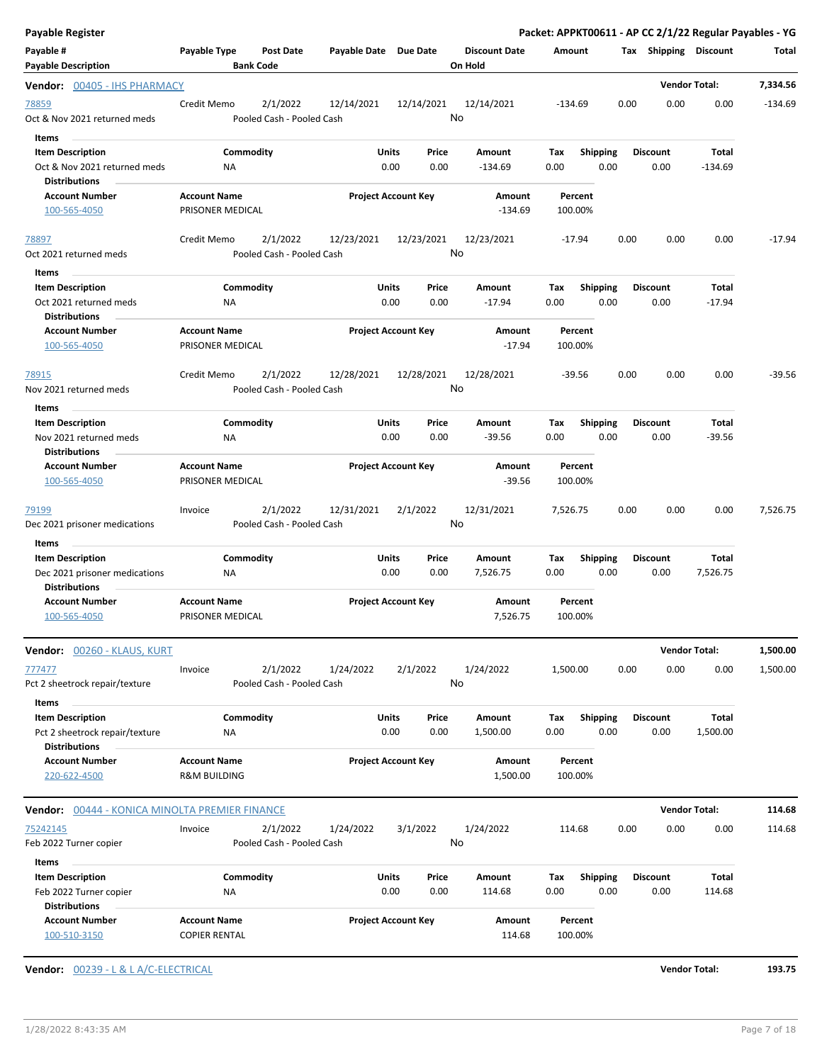| <b>Payable Register</b>                                                          |                                                |                                       |                            |            |               |                                 |             |                         |      |                         | Packet: APPKT00611 - AP CC 2/1/22 Regular Payables - YG |           |
|----------------------------------------------------------------------------------|------------------------------------------------|---------------------------------------|----------------------------|------------|---------------|---------------------------------|-------------|-------------------------|------|-------------------------|---------------------------------------------------------|-----------|
| Payable #<br><b>Payable Description</b>                                          | Payable Type                                   | <b>Post Date</b><br><b>Bank Code</b>  | Payable Date Due Date      |            |               | <b>Discount Date</b><br>On Hold | Amount      |                         |      | Tax Shipping Discount   |                                                         | Total     |
| Vendor: 00405 - IHS PHARMACY                                                     |                                                |                                       |                            |            |               |                                 |             |                         |      |                         | <b>Vendor Total:</b>                                    | 7,334.56  |
| 78859<br>Oct & Nov 2021 returned meds<br><b>Items</b>                            | Credit Memo                                    | 2/1/2022<br>Pooled Cash - Pooled Cash | 12/14/2021                 | 12/14/2021 | No            | 12/14/2021                      | -134.69     |                         | 0.00 | 0.00                    | 0.00                                                    | $-134.69$ |
| <b>Item Description</b>                                                          | Commodity                                      |                                       | Units                      |            | Price         | Amount                          | Tax         | <b>Shipping</b>         |      | <b>Discount</b>         | Total                                                   |           |
| Oct & Nov 2021 returned meds<br><b>Distributions</b>                             | <b>NA</b>                                      |                                       |                            | 0.00       | 0.00          | $-134.69$                       | 0.00        | 0.00                    |      | 0.00                    | $-134.69$                                               |           |
| <b>Account Number</b><br>100-565-4050                                            | <b>Account Name</b><br>PRISONER MEDICAL        |                                       | <b>Project Account Key</b> |            |               | Amount<br>$-134.69$             |             | Percent<br>100.00%      |      |                         |                                                         |           |
| 78897<br>Oct 2021 returned meds                                                  | Credit Memo                                    | 2/1/2022<br>Pooled Cash - Pooled Cash | 12/23/2021                 | 12/23/2021 | No            | 12/23/2021                      |             | $-17.94$                | 0.00 | 0.00                    | 0.00                                                    | $-17.94$  |
| Items                                                                            |                                                |                                       |                            |            |               |                                 |             |                         |      |                         |                                                         |           |
| <b>Item Description</b><br>Oct 2021 returned meds<br><b>Distributions</b>        | Commodity<br>ΝA                                |                                       | Units                      | 0.00       | Price<br>0.00 | Amount<br>$-17.94$              | Tax<br>0.00 | <b>Shipping</b><br>0.00 |      | <b>Discount</b><br>0.00 | <b>Total</b><br>$-17.94$                                |           |
| <b>Account Number</b><br>100-565-4050                                            | <b>Account Name</b><br>PRISONER MEDICAL        |                                       | <b>Project Account Key</b> |            |               | Amount<br>$-17.94$              |             | Percent<br>100.00%      |      |                         |                                                         |           |
| 78915<br>Nov 2021 returned meds                                                  | Credit Memo                                    | 2/1/2022<br>Pooled Cash - Pooled Cash | 12/28/2021                 | 12/28/2021 | No            | 12/28/2021                      |             | $-39.56$                | 0.00 | 0.00                    | 0.00                                                    | $-39.56$  |
| Items                                                                            |                                                |                                       |                            |            |               |                                 |             |                         |      |                         |                                                         |           |
| <b>Item Description</b><br>Nov 2021 returned meds<br><b>Distributions</b>        | Commodity<br>ΝA                                |                                       | Units                      | 0.00       | Price<br>0.00 | Amount<br>$-39.56$              | Tax<br>0.00 | <b>Shipping</b><br>0.00 |      | <b>Discount</b><br>0.00 | <b>Total</b><br>$-39.56$                                |           |
| <b>Account Number</b><br>100-565-4050                                            | <b>Account Name</b><br>PRISONER MEDICAL        |                                       | <b>Project Account Key</b> |            |               | Amount<br>$-39.56$              |             | Percent<br>100.00%      |      |                         |                                                         |           |
| 79199<br>Dec 2021 prisoner medications                                           | Invoice                                        | 2/1/2022<br>Pooled Cash - Pooled Cash | 12/31/2021                 | 2/1/2022   | No            | 12/31/2021                      | 7,526.75    |                         | 0.00 | 0.00                    | 0.00                                                    | 7,526.75  |
| Items                                                                            |                                                |                                       |                            |            |               |                                 |             |                         |      |                         |                                                         |           |
| <b>Item Description</b><br>Dec 2021 prisoner medications<br><b>Distributions</b> | Commodity<br>ΝA                                |                                       | Units                      | 0.00       | Price<br>0.00 | Amount<br>7,526.75              | Tax<br>0.00 | <b>Shipping</b><br>0.00 |      | <b>Discount</b><br>0.00 | Total<br>7,526.75                                       |           |
| <b>Account Number</b><br>100-565-4050                                            | <b>Account Name</b><br>PRISONER MEDICAL        |                                       | <b>Project Account Key</b> |            |               | Amount<br>7,526.75              |             | Percent<br>100.00%      |      |                         |                                                         |           |
| Vendor: 00260 - KLAUS, KURT                                                      |                                                |                                       |                            |            |               |                                 |             |                         |      |                         | <b>Vendor Total:</b>                                    | 1,500.00  |
| 777477<br>Pct 2 sheetrock repair/texture<br>Items                                | Invoice                                        | 2/1/2022<br>Pooled Cash - Pooled Cash | 1/24/2022                  | 2/1/2022   | No            | 1/24/2022                       | 1,500.00    |                         | 0.00 | 0.00                    | 0.00                                                    | 1,500.00  |
| <b>Item Description</b><br>Pct 2 sheetrock repair/texture                        | Commodity<br>NA                                |                                       | Units                      | 0.00       | Price<br>0.00 | Amount<br>1,500.00              | Tax<br>0.00 | <b>Shipping</b><br>0.00 |      | <b>Discount</b><br>0.00 | Total<br>1,500.00                                       |           |
| <b>Distributions</b>                                                             |                                                |                                       |                            |            |               |                                 |             |                         |      |                         |                                                         |           |
| <b>Account Number</b><br>220-622-4500                                            | <b>Account Name</b><br><b>R&amp;M BUILDING</b> |                                       | <b>Project Account Key</b> |            |               | Amount<br>1,500.00              |             | Percent<br>100.00%      |      |                         |                                                         |           |
| Vendor: 00444 - KONICA MINOLTA PREMIER FINANCE                                   |                                                |                                       |                            |            |               |                                 |             |                         |      |                         | <b>Vendor Total:</b>                                    | 114.68    |
| 75242145<br>Feb 2022 Turner copier                                               | Invoice                                        | 2/1/2022<br>Pooled Cash - Pooled Cash | 1/24/2022                  | 3/1/2022   | No            | 1/24/2022                       | 114.68      |                         | 0.00 | 0.00                    | 0.00                                                    | 114.68    |
| Items                                                                            |                                                |                                       |                            |            |               |                                 |             |                         |      |                         |                                                         |           |
| <b>Item Description</b><br>Feb 2022 Turner copier                                | Commodity<br><b>NA</b>                         |                                       | Units                      | 0.00       | Price<br>0.00 | Amount<br>114.68                | Tax<br>0.00 | Shipping<br>0.00        |      | <b>Discount</b><br>0.00 | Total<br>114.68                                         |           |
| <b>Distributions</b><br><b>Account Number</b><br>100-510-3150                    | <b>Account Name</b><br><b>COPIER RENTAL</b>    |                                       | <b>Project Account Key</b> |            |               | Amount<br>114.68                |             | Percent<br>100.00%      |      |                         |                                                         |           |

**Vendor:** 00239 - L & L A/C-ELECTRICAL **Vendor Total: 193.75**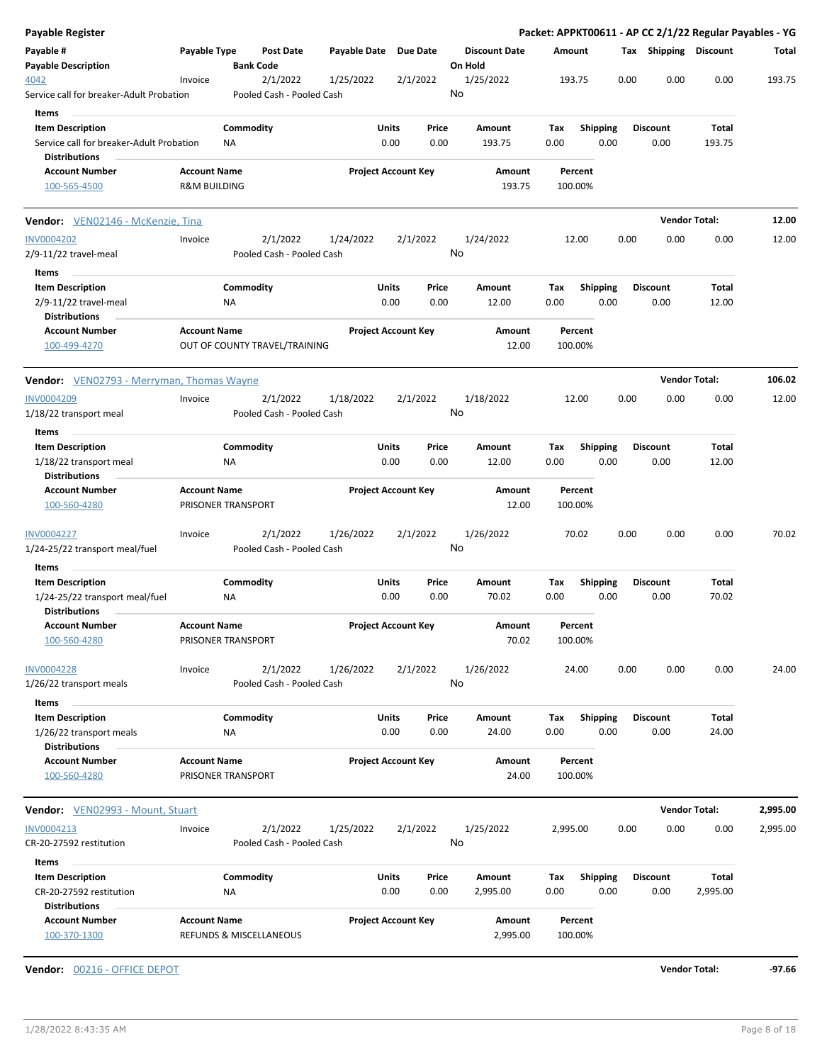| Payable Register                                                                            |                                           |                                       |                            |                            |                                 |                    |                         |      |                         | Packet: APPKT00611 - AP CC 2/1/22 Regular Payables - YG |          |
|---------------------------------------------------------------------------------------------|-------------------------------------------|---------------------------------------|----------------------------|----------------------------|---------------------------------|--------------------|-------------------------|------|-------------------------|---------------------------------------------------------|----------|
| Payable #<br><b>Payable Description</b>                                                     | Payable Type                              | <b>Post Date</b><br><b>Bank Code</b>  | Payable Date Due Date      |                            | <b>Discount Date</b><br>On Hold | Amount             |                         |      | Tax Shipping Discount   |                                                         | Total    |
| 4042<br>Service call for breaker-Adult Probation                                            | Invoice                                   | 2/1/2022<br>Pooled Cash - Pooled Cash | 1/25/2022                  | 2/1/2022                   | 1/25/2022<br>No                 | 193.75             |                         | 0.00 | 0.00                    | 0.00                                                    | 193.75   |
| Items                                                                                       |                                           |                                       |                            |                            |                                 |                    |                         |      |                         |                                                         |          |
| <b>Item Description</b><br>Service call for breaker-Adult Probation<br><b>Distributions</b> | ΝA                                        | Commodity                             | Units<br>0.00              | Price<br>0.00              | Amount<br>193.75                | Tax<br>0.00        | <b>Shipping</b><br>0.00 |      | <b>Discount</b><br>0.00 | Total<br>193.75                                         |          |
| <b>Account Number</b>                                                                       | <b>Account Name</b>                       |                                       |                            | <b>Project Account Key</b> | Amount                          | Percent            |                         |      |                         |                                                         |          |
| 100-565-4500                                                                                | <b>R&amp;M BUILDING</b>                   |                                       |                            |                            | 193.75                          | 100.00%            |                         |      |                         |                                                         |          |
| Vendor: VEN02146 - McKenzie, Tina                                                           |                                           |                                       |                            |                            |                                 |                    |                         |      | <b>Vendor Total:</b>    |                                                         | 12.00    |
| <b>INV0004202</b><br>2/9-11/22 travel-meal                                                  | Invoice                                   | 2/1/2022<br>Pooled Cash - Pooled Cash | 1/24/2022                  | 2/1/2022                   | 1/24/2022<br>No                 | 12.00              |                         | 0.00 | 0.00                    | 0.00                                                    | 12.00    |
| Items                                                                                       |                                           |                                       |                            |                            |                                 |                    |                         |      |                         |                                                         |          |
| <b>Item Description</b>                                                                     |                                           | Commodity                             | Units                      | Price                      | Amount                          | Tax                | <b>Shipping</b>         |      | <b>Discount</b>         | Total                                                   |          |
| 2/9-11/22 travel-meal<br><b>Distributions</b>                                               | ΝA                                        |                                       | 0.00                       | 0.00                       | 12.00                           | 0.00               | 0.00                    |      | 0.00                    | 12.00                                                   |          |
| <b>Account Number</b><br>100-499-4270                                                       | <b>Account Name</b>                       | OUT OF COUNTY TRAVEL/TRAINING         |                            | <b>Project Account Key</b> | Amount<br>12.00                 | Percent<br>100.00% |                         |      |                         |                                                         |          |
| Vendor: VEN02793 - Merryman, Thomas Wayne                                                   |                                           |                                       |                            |                            |                                 |                    |                         |      | <b>Vendor Total:</b>    |                                                         | 106.02   |
| <b>INV0004209</b><br>1/18/22 transport meal                                                 | Invoice                                   | 2/1/2022<br>Pooled Cash - Pooled Cash | 1/18/2022                  | 2/1/2022                   | 1/18/2022<br>No                 | 12.00              |                         | 0.00 | 0.00                    | 0.00                                                    | 12.00    |
| Items                                                                                       |                                           |                                       |                            |                            |                                 |                    |                         |      |                         |                                                         |          |
| <b>Item Description</b>                                                                     |                                           | Commodity                             | Units                      | Price                      | Amount                          | Tax                | <b>Shipping</b>         |      | <b>Discount</b>         | Total                                                   |          |
| 1/18/22 transport meal<br><b>Distributions</b>                                              | ΝA                                        |                                       | 0.00                       | 0.00                       | 12.00                           | 0.00               | 0.00                    |      | 0.00                    | 12.00                                                   |          |
| <b>Account Number</b><br>100-560-4280                                                       | <b>Account Name</b><br>PRISONER TRANSPORT |                                       |                            | <b>Project Account Key</b> | Amount<br>12.00                 | Percent<br>100.00% |                         |      |                         |                                                         |          |
| <b>INV0004227</b><br>1/24-25/22 transport meal/fuel                                         | Invoice                                   | 2/1/2022<br>Pooled Cash - Pooled Cash | 1/26/2022                  | 2/1/2022                   | 1/26/2022<br>No                 | 70.02              |                         | 0.00 | 0.00                    | 0.00                                                    | 70.02    |
| Items                                                                                       |                                           |                                       |                            |                            |                                 |                    |                         |      |                         |                                                         |          |
| <b>Item Description</b><br>1/24-25/22 transport meal/fuel<br><b>Distributions</b>           | ΝA                                        | Commodity                             | Units<br>0.00              | Price<br>0.00              | Amount<br>70.02                 | Tax<br>0.00        | <b>Shipping</b><br>0.00 |      | <b>Discount</b><br>0.00 | Total<br>70.02                                          |          |
| <b>Account Number</b><br>100-560-4280                                                       | <b>Account Name</b><br>PRISONER TRANSPORT |                                       |                            | <b>Project Account Key</b> | Amount<br>70.02                 | Percent<br>100.00% |                         |      |                         |                                                         |          |
| <b>INV0004228</b><br>1/26/22 transport meals                                                | Invoice                                   | 2/1/2022<br>Pooled Cash - Pooled Cash | 1/26/2022                  | 2/1/2022                   | 1/26/2022<br>No                 | 24.00              |                         | 0.00 | 0.00                    | 0.00                                                    | 24.00    |
| Items                                                                                       |                                           |                                       |                            |                            |                                 |                    |                         |      |                         |                                                         |          |
| <b>Item Description</b><br>1/26/22 transport meals                                          | ΝA                                        | Commodity                             | Units<br>0.00              | Price<br>0.00              | Amount<br>24.00                 | Tax<br>0.00        | <b>Shipping</b><br>0.00 |      | <b>Discount</b><br>0.00 | Total<br>24.00                                          |          |
| <b>Distributions</b>                                                                        |                                           |                                       |                            |                            |                                 |                    |                         |      |                         |                                                         |          |
| <b>Account Number</b><br>100-560-4280                                                       | <b>Account Name</b><br>PRISONER TRANSPORT |                                       |                            | <b>Project Account Key</b> | Amount<br>24.00                 | Percent<br>100.00% |                         |      |                         |                                                         |          |
| Vendor: VEN02993 - Mount, Stuart                                                            |                                           |                                       |                            |                            |                                 |                    |                         |      | <b>Vendor Total:</b>    |                                                         | 2,995.00 |
| INV0004213<br>CR-20-27592 restitution                                                       | Invoice                                   | 2/1/2022<br>Pooled Cash - Pooled Cash | 1/25/2022                  | 2/1/2022                   | 1/25/2022<br>No                 | 2,995.00           |                         | 0.00 | 0.00                    | 0.00                                                    | 2,995.00 |
| Items                                                                                       |                                           |                                       |                            |                            |                                 |                    |                         |      |                         |                                                         |          |
| <b>Item Description</b><br>CR-20-27592 restitution<br><b>Distributions</b>                  | ΝA                                        | Commodity                             | Units<br>0.00              | Price<br>0.00              | Amount<br>2,995.00              | Tax<br>0.00        | <b>Shipping</b><br>0.00 |      | <b>Discount</b><br>0.00 | Total<br>2,995.00                                       |          |
| <b>Account Number</b>                                                                       | <b>Account Name</b>                       |                                       | <b>Project Account Key</b> |                            | Amount                          | Percent            |                         |      |                         |                                                         |          |

**Vendor:** 00216 - OFFICE DEPOT **Vendor Total: -97.66**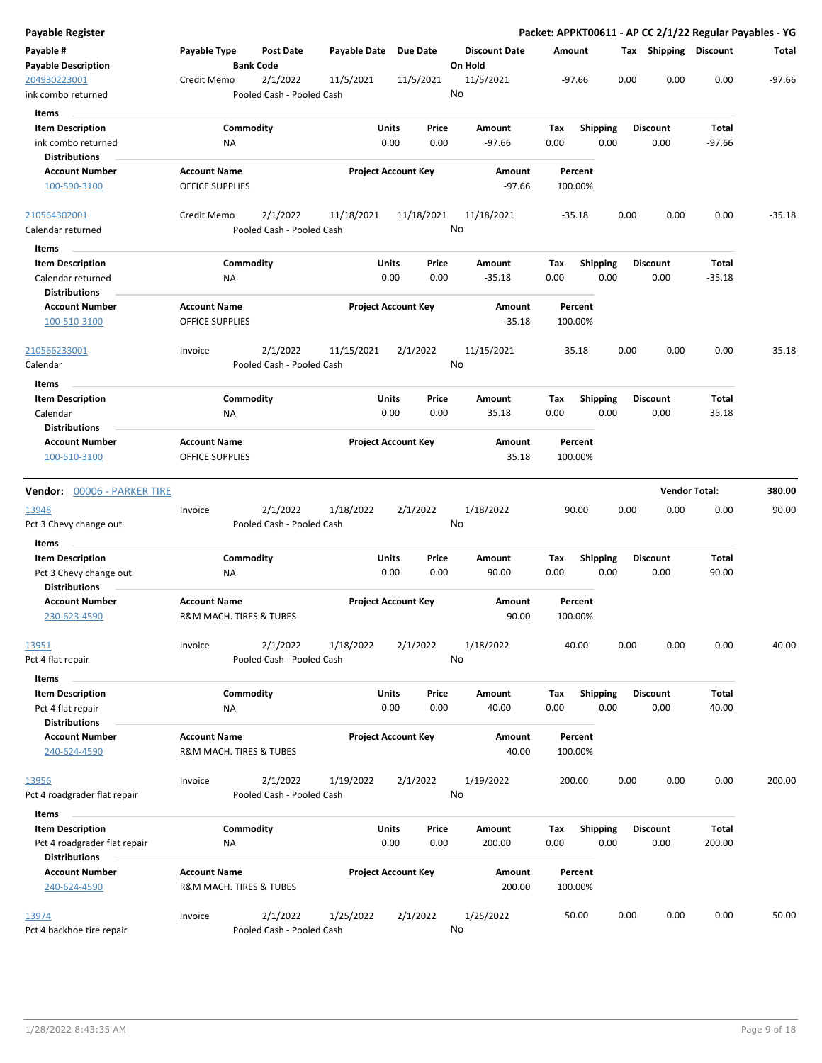| <b>Payable Register</b>                        |                         |                                       |              |                            |                                 |      |                 |      |                       |                      | Packet: APPKT00611 - AP CC 2/1/22 Regular Payables - YG |
|------------------------------------------------|-------------------------|---------------------------------------|--------------|----------------------------|---------------------------------|------|-----------------|------|-----------------------|----------------------|---------------------------------------------------------|
| Payable #<br><b>Payable Description</b>        | Payable Type            | <b>Post Date</b><br><b>Bank Code</b>  | Payable Date | <b>Due Date</b>            | <b>Discount Date</b><br>On Hold |      | Amount          |      | Tax Shipping Discount |                      | Total                                                   |
| 204930223001<br>ink combo returned             | Credit Memo             | 2/1/2022<br>Pooled Cash - Pooled Cash | 11/5/2021    | 11/5/2021                  | 11/5/2021<br>No                 |      | -97.66          | 0.00 | 0.00                  | 0.00                 | $-97.66$                                                |
| Items                                          |                         |                                       |              |                            |                                 |      |                 |      |                       |                      |                                                         |
| <b>Item Description</b>                        |                         | Commodity                             |              | <b>Units</b><br>Price      | Amount                          | Tax  | <b>Shipping</b> |      | <b>Discount</b>       | Total                |                                                         |
| ink combo returned                             | ΝA                      |                                       |              | 0.00<br>0.00               | $-97.66$                        | 0.00 | 0.00            |      | 0.00                  | $-97.66$             |                                                         |
| <b>Distributions</b>                           |                         |                                       |              |                            |                                 |      |                 |      |                       |                      |                                                         |
| <b>Account Number</b>                          | <b>Account Name</b>     |                                       |              | <b>Project Account Key</b> | Amount                          |      | Percent         |      |                       |                      |                                                         |
| 100-590-3100                                   | <b>OFFICE SUPPLIES</b>  |                                       |              |                            | $-97.66$                        |      | 100.00%         |      |                       |                      |                                                         |
| 210564302001                                   | Credit Memo             | 2/1/2022                              | 11/18/2021   | 11/18/2021                 | 11/18/2021                      |      | $-35.18$        | 0.00 | 0.00                  | 0.00                 | $-35.18$                                                |
| Calendar returned                              |                         | Pooled Cash - Pooled Cash             |              |                            | No                              |      |                 |      |                       |                      |                                                         |
| Items                                          |                         |                                       |              |                            |                                 |      |                 |      |                       |                      |                                                         |
| <b>Item Description</b>                        |                         | Commodity                             |              | Units<br>Price             | Amount                          | Tax  | <b>Shipping</b> |      | <b>Discount</b>       | Total                |                                                         |
| Calendar returned                              | NA                      |                                       |              | 0.00<br>0.00               | $-35.18$                        | 0.00 | 0.00            |      | 0.00                  | $-35.18$             |                                                         |
| <b>Distributions</b>                           |                         |                                       |              |                            |                                 |      |                 |      |                       |                      |                                                         |
| <b>Account Number</b>                          | <b>Account Name</b>     |                                       |              | <b>Project Account Key</b> | Amount                          |      | Percent         |      |                       |                      |                                                         |
| 100-510-3100                                   | <b>OFFICE SUPPLIES</b>  |                                       |              |                            | $-35.18$                        |      | 100.00%         |      |                       |                      |                                                         |
| 210566233001                                   | Invoice                 | 2/1/2022                              | 11/15/2021   | 2/1/2022                   | 11/15/2021                      |      | 35.18           | 0.00 | 0.00                  | 0.00                 | 35.18                                                   |
| Calendar                                       |                         | Pooled Cash - Pooled Cash             |              |                            | No                              |      |                 |      |                       |                      |                                                         |
| Items                                          |                         |                                       |              |                            |                                 |      |                 |      |                       |                      |                                                         |
| <b>Item Description</b>                        |                         | Commodity                             |              | <b>Units</b><br>Price      | Amount                          | Tax  | <b>Shipping</b> |      | <b>Discount</b>       | Total                |                                                         |
| Calendar                                       | <b>NA</b>               |                                       |              | 0.00<br>0.00               | 35.18                           | 0.00 | 0.00            |      | 0.00                  | 35.18                |                                                         |
| <b>Distributions</b>                           |                         |                                       |              |                            |                                 |      |                 |      |                       |                      |                                                         |
| <b>Account Number</b>                          | <b>Account Name</b>     |                                       |              | <b>Project Account Key</b> | Amount                          |      | Percent         |      |                       |                      |                                                         |
| 100-510-3100                                   | <b>OFFICE SUPPLIES</b>  |                                       |              |                            | 35.18                           |      | 100.00%         |      |                       |                      |                                                         |
|                                                |                         |                                       |              |                            |                                 |      |                 |      |                       |                      |                                                         |
| Vendor: 00006 - PARKER TIRE                    |                         |                                       |              |                            |                                 |      |                 |      |                       | <b>Vendor Total:</b> | 380.00                                                  |
| 13948                                          | Invoice                 | 2/1/2022                              | 1/18/2022    | 2/1/2022                   | 1/18/2022                       |      | 90.00           | 0.00 | 0.00                  | 0.00                 | 90.00                                                   |
| Pct 3 Chevy change out                         |                         | Pooled Cash - Pooled Cash             |              |                            | No                              |      |                 |      |                       |                      |                                                         |
| Items                                          |                         |                                       |              |                            |                                 |      |                 |      |                       |                      |                                                         |
| <b>Item Description</b>                        |                         | Commodity                             |              | Units<br>Price             | Amount                          | Tax  | <b>Shipping</b> |      | <b>Discount</b>       | Total                |                                                         |
| Pct 3 Chevy change out<br><b>Distributions</b> | ΝA                      |                                       |              | 0.00<br>0.00               | 90.00                           | 0.00 | 0.00            |      | 0.00                  | 90.00                |                                                         |
| <b>Account Number</b>                          | <b>Account Name</b>     |                                       |              | <b>Project Account Key</b> | Amount                          |      | Percent         |      |                       |                      |                                                         |
| 230-623-4590                                   | R&M MACH. TIRES & TUBES |                                       |              |                            | 90.00                           |      | 100.00%         |      |                       |                      |                                                         |
| 13951                                          | Invoice                 | 2/1/2022                              | 1/18/2022    | 2/1/2022                   | 1/18/2022                       |      | 40.00           | 0.00 | 0.00                  | 0.00                 | 40.00                                                   |
| Pct 4 flat repair                              |                         | Pooled Cash - Pooled Cash             |              |                            | No                              |      |                 |      |                       |                      |                                                         |
| Items                                          |                         |                                       |              |                            |                                 |      |                 |      |                       |                      |                                                         |
| <b>Item Description</b>                        |                         | Commodity                             |              | Units<br>Price             | Amount                          | Tax  | <b>Shipping</b> |      | <b>Discount</b>       | Total                |                                                         |
| Pct 4 flat repair<br><b>Distributions</b>      | NA                      |                                       |              | 0.00<br>0.00               | 40.00                           | 0.00 | 0.00            |      | 0.00                  | 40.00                |                                                         |
| <b>Account Number</b>                          | <b>Account Name</b>     |                                       |              | <b>Project Account Key</b> | Amount                          |      | Percent         |      |                       |                      |                                                         |
| 240-624-4590                                   | R&M MACH. TIRES & TUBES |                                       |              |                            | 40.00                           |      | 100.00%         |      |                       |                      |                                                         |
| 13956                                          | Invoice                 | 2/1/2022                              | 1/19/2022    | 2/1/2022                   | 1/19/2022                       |      | 200.00          | 0.00 | 0.00                  | 0.00                 | 200.00                                                  |
| Pct 4 roadgrader flat repair                   |                         | Pooled Cash - Pooled Cash             |              |                            | No                              |      |                 |      |                       |                      |                                                         |
|                                                |                         |                                       |              |                            |                                 |      |                 |      |                       |                      |                                                         |
| Items                                          |                         |                                       |              |                            |                                 |      |                 |      |                       |                      |                                                         |
| <b>Item Description</b>                        |                         | Commodity                             |              | <b>Units</b><br>Price      | Amount                          | Tax  | <b>Shipping</b> |      | <b>Discount</b>       | Total                |                                                         |
| Pct 4 roadgrader flat repair                   | ΝA                      |                                       |              | 0.00<br>0.00               | 200.00                          | 0.00 | 0.00            |      | 0.00                  | 200.00               |                                                         |
| <b>Distributions</b>                           |                         |                                       |              |                            |                                 |      |                 |      |                       |                      |                                                         |
| <b>Account Number</b>                          | <b>Account Name</b>     |                                       |              | <b>Project Account Key</b> | Amount                          |      | Percent         |      |                       |                      |                                                         |
| 240-624-4590                                   | R&M MACH. TIRES & TUBES |                                       |              |                            | 200.00                          |      | 100.00%         |      |                       |                      |                                                         |
| 13974                                          | Invoice                 | 2/1/2022                              | 1/25/2022    | 2/1/2022                   | 1/25/2022                       |      | 50.00           | 0.00 | 0.00                  | 0.00                 | 50.00                                                   |
| Pct 4 backhoe tire repair                      |                         | Pooled Cash - Pooled Cash             |              |                            | No                              |      |                 |      |                       |                      |                                                         |
|                                                |                         |                                       |              |                            |                                 |      |                 |      |                       |                      |                                                         |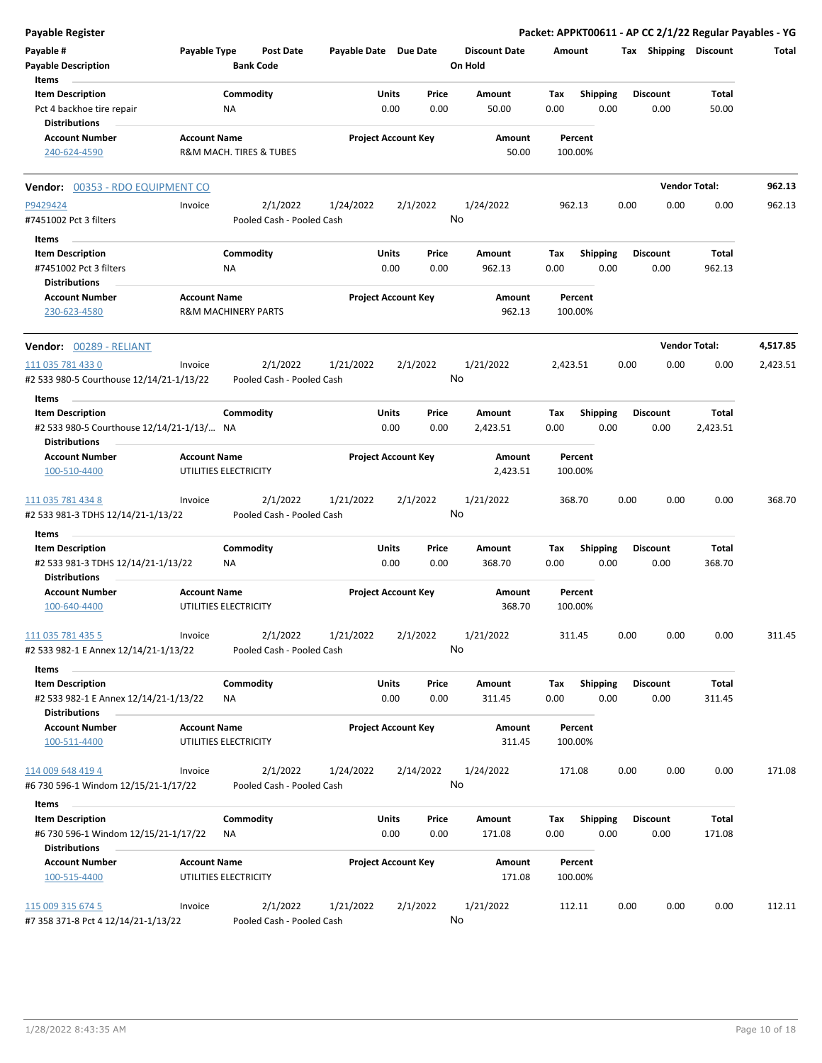| Payable Register                                                                             |                     |                                       |                       |                                       |                                 |             |                         |      |                         |                          | Packet: APPKT00611 - AP CC 2/1/22 Regular Payables - YG |
|----------------------------------------------------------------------------------------------|---------------------|---------------------------------------|-----------------------|---------------------------------------|---------------------------------|-------------|-------------------------|------|-------------------------|--------------------------|---------------------------------------------------------|
| Payable #<br><b>Payable Description</b>                                                      | Payable Type        | <b>Post Date</b><br><b>Bank Code</b>  | Payable Date Due Date |                                       | <b>Discount Date</b><br>On Hold | Amount      |                         |      |                         | Tax Shipping Discount    | Total                                                   |
| Items<br><b>Item Description</b><br>Pct 4 backhoe tire repair<br><b>Distributions</b>        |                     | Commodity<br>ΝA                       |                       | <b>Units</b><br>Price<br>0.00<br>0.00 | Amount<br>50.00                 | Tax<br>0.00 | <b>Shipping</b><br>0.00 |      | <b>Discount</b><br>0.00 | Total<br>50.00           |                                                         |
| <b>Account Number</b><br>240-624-4590                                                        | <b>Account Name</b> | R&M MACH. TIRES & TUBES               |                       | <b>Project Account Key</b>            | Amount<br>50.00                 | 100.00%     | Percent                 |      |                         |                          |                                                         |
| Vendor: 00353 - RDO EQUIPMENT CO                                                             |                     |                                       |                       |                                       |                                 |             |                         |      |                         | <b>Vendor Total:</b>     | 962.13                                                  |
| P9429424<br>#7451002 Pct 3 filters                                                           | Invoice             | 2/1/2022<br>Pooled Cash - Pooled Cash | 1/24/2022             | 2/1/2022                              | 1/24/2022<br>No                 | 962.13      |                         | 0.00 | 0.00                    | 0.00                     | 962.13                                                  |
| Items                                                                                        |                     |                                       |                       |                                       |                                 |             |                         |      |                         |                          |                                                         |
| <b>Item Description</b><br>#7451002 Pct 3 filters<br><b>Distributions</b>                    |                     | Commodity<br><b>NA</b>                |                       | Units<br>Price<br>0.00<br>0.00        | Amount<br>962.13                | Tax<br>0.00 | <b>Shipping</b><br>0.00 |      | <b>Discount</b><br>0.00 | Total<br>962.13          |                                                         |
| <b>Account Number</b><br>230-623-4580                                                        | <b>Account Name</b> | <b>R&amp;M MACHINERY PARTS</b>        |                       | <b>Project Account Key</b>            | Amount<br>962.13                | 100.00%     | Percent                 |      |                         |                          |                                                         |
| <b>Vendor: 00289 - RELIANT</b>                                                               |                     |                                       |                       |                                       |                                 |             |                         |      |                         | <b>Vendor Total:</b>     | 4,517.85                                                |
| 111 035 781 433 0                                                                            | Invoice             | 2/1/2022                              | 1/21/2022             | 2/1/2022                              | 1/21/2022                       | 2,423.51    |                         | 0.00 | 0.00                    | 0.00                     | 2,423.51                                                |
| #2 533 980-5 Courthouse 12/14/21-1/13/22                                                     |                     | Pooled Cash - Pooled Cash             |                       |                                       | No                              |             |                         |      |                         |                          |                                                         |
| Items                                                                                        |                     |                                       |                       |                                       |                                 |             |                         |      |                         |                          |                                                         |
| <b>Item Description</b><br>#2 533 980-5 Courthouse 12/14/21-1/13/ NA<br><b>Distributions</b> |                     | Commodity                             |                       | Units<br>Price<br>0.00<br>0.00        | Amount<br>2,423.51              | Tax<br>0.00 | <b>Shipping</b><br>0.00 |      | <b>Discount</b><br>0.00 | <b>Total</b><br>2,423.51 |                                                         |
| <b>Account Number</b><br>100-510-4400                                                        | <b>Account Name</b> | UTILITIES ELECTRICITY                 |                       | <b>Project Account Key</b>            | Amount<br>2,423.51              | 100.00%     | Percent                 |      |                         |                          |                                                         |
| 111 035 781 434 8<br>#2 533 981-3 TDHS 12/14/21-1/13/22                                      | Invoice             | 2/1/2022<br>Pooled Cash - Pooled Cash | 1/21/2022             | 2/1/2022                              | 1/21/2022<br>No                 | 368.70      |                         | 0.00 | 0.00                    | 0.00                     | 368.70                                                  |
| Items                                                                                        |                     |                                       |                       |                                       |                                 |             |                         |      |                         |                          |                                                         |
| <b>Item Description</b>                                                                      |                     | Commodity                             |                       | Units<br>Price                        | Amount                          | Tax         | <b>Shipping</b>         |      | <b>Discount</b>         | <b>Total</b>             |                                                         |
| #2 533 981-3 TDHS 12/14/21-1/13/22<br><b>Distributions</b>                                   |                     | ΝA                                    |                       | 0.00<br>0.00                          | 368.70                          | 0.00        | 0.00                    |      | 0.00                    | 368.70                   |                                                         |
| <b>Account Number</b><br>100-640-4400                                                        | <b>Account Name</b> | UTILITIES ELECTRICITY                 |                       | <b>Project Account Key</b>            | Amount<br>368.70                | 100.00%     | Percent                 |      |                         |                          |                                                         |
| 111 035 781 435 5<br>#2 533 982-1 E Annex 12/14/21-1/13/22                                   | Invoice             | 2/1/2022<br>Pooled Cash - Pooled Cash | 1/21/2022             | 2/1/2022                              | 1/21/2022<br>No                 | 311.45      |                         | 0.00 | 0.00                    | 0.00                     | 311.45                                                  |
| Items                                                                                        |                     |                                       |                       |                                       |                                 |             |                         |      |                         |                          |                                                         |
| <b>Item Description</b><br>#2 533 982-1 E Annex 12/14/21-1/13/22                             |                     | Commodity<br>ΝA                       |                       | Units<br>Price<br>0.00<br>0.00        | Amount<br>311.45                | Tax<br>0.00 | <b>Shipping</b><br>0.00 |      | <b>Discount</b><br>0.00 | Total<br>311.45          |                                                         |
| <b>Distributions</b><br><b>Account Number</b><br>100-511-4400                                | <b>Account Name</b> | UTILITIES ELECTRICITY                 |                       | <b>Project Account Key</b>            | Amount<br>311.45                |             | Percent<br>100.00%      |      |                         |                          |                                                         |
|                                                                                              |                     |                                       |                       |                                       |                                 |             |                         |      |                         |                          |                                                         |
| 114 009 648 419 4<br>#6 730 596-1 Windom 12/15/21-1/17/22                                    | Invoice             | 2/1/2022<br>Pooled Cash - Pooled Cash | 1/24/2022             | 2/14/2022                             | 1/24/2022<br>No                 | 171.08      |                         | 0.00 | 0.00                    | 0.00                     | 171.08                                                  |
| Items                                                                                        |                     |                                       |                       |                                       |                                 |             |                         |      |                         |                          |                                                         |
| <b>Item Description</b><br>#6 730 596-1 Windom 12/15/21-1/17/22<br><b>Distributions</b>      |                     | Commodity<br>ΝA                       |                       | Units<br>Price<br>0.00<br>0.00        | Amount<br>171.08                | Tax<br>0.00 | <b>Shipping</b><br>0.00 |      | <b>Discount</b><br>0.00 | Total<br>171.08          |                                                         |
| <b>Account Number</b><br>100-515-4400                                                        | <b>Account Name</b> | UTILITIES ELECTRICITY                 |                       | <b>Project Account Key</b>            | Amount<br>171.08                | 100.00%     | Percent                 |      |                         |                          |                                                         |
| 115 009 315 674 5<br>#7 358 371-8 Pct 4 12/14/21-1/13/22                                     | Invoice             | 2/1/2022<br>Pooled Cash - Pooled Cash | 1/21/2022             | 2/1/2022                              | 1/21/2022<br>No                 | 112.11      |                         | 0.00 | 0.00                    | 0.00                     | 112.11                                                  |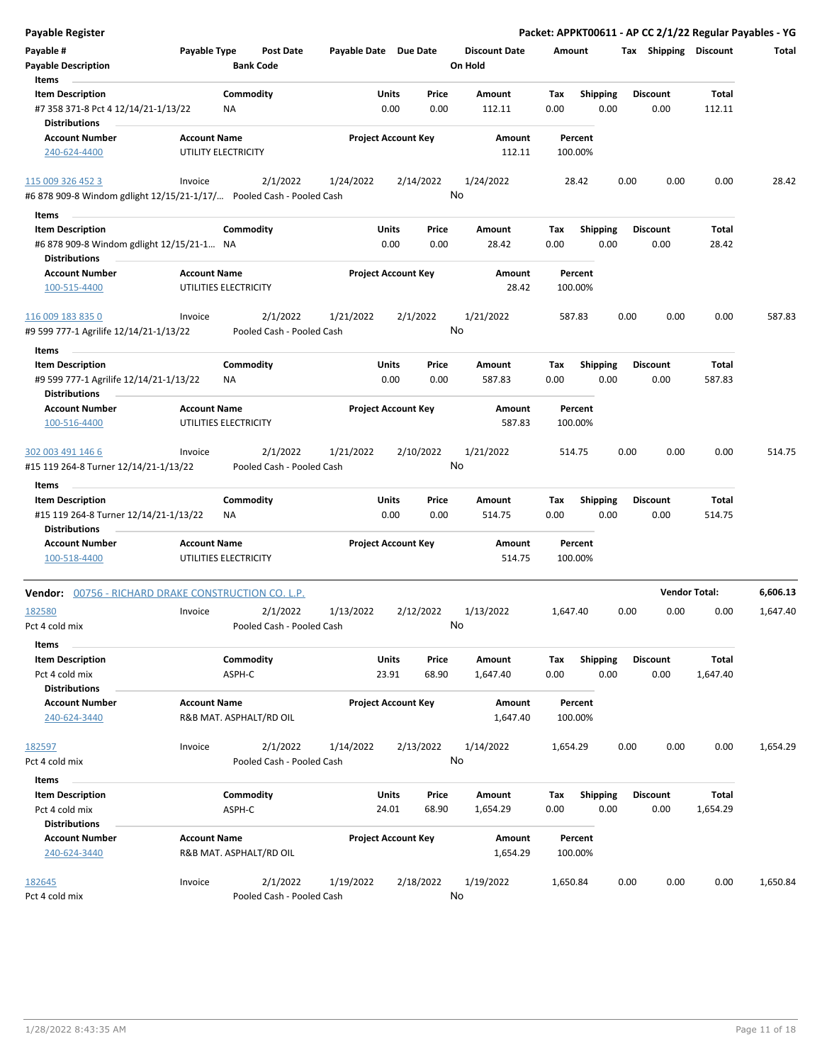| <b>Payable Register</b>                                              |                                              |                           |                       |                                |                      |                    |                         |      |                         |                      | Packet: APPKT00611 - AP CC 2/1/22 Regular Payables - YG |
|----------------------------------------------------------------------|----------------------------------------------|---------------------------|-----------------------|--------------------------------|----------------------|--------------------|-------------------------|------|-------------------------|----------------------|---------------------------------------------------------|
| Payable #                                                            | Payable Type                                 | <b>Post Date</b>          | Payable Date Due Date |                                | <b>Discount Date</b> | Amount             |                         |      | Tax Shipping Discount   |                      | Total                                                   |
| <b>Payable Description</b>                                           |                                              | <b>Bank Code</b>          |                       |                                | On Hold              |                    |                         |      |                         |                      |                                                         |
| Items                                                                |                                              |                           |                       |                                |                      |                    |                         |      |                         |                      |                                                         |
| <b>Item Description</b>                                              |                                              | Commodity                 |                       | Units<br>Price                 | Amount               | Tax                | <b>Shipping</b>         |      | <b>Discount</b>         | Total                |                                                         |
| #7 358 371-8 Pct 4 12/14/21-1/13/22<br><b>Distributions</b>          |                                              | NA                        |                       | 0.00<br>0.00                   | 112.11               | 0.00               | 0.00                    |      | 0.00                    | 112.11               |                                                         |
| <b>Account Number</b>                                                | <b>Account Name</b>                          |                           |                       | <b>Project Account Key</b>     | Amount               | Percent            |                         |      |                         |                      |                                                         |
| 240-624-4400                                                         | UTILITY ELECTRICITY                          |                           |                       |                                | 112.11               | 100.00%            |                         |      |                         |                      |                                                         |
| 115 009 326 452 3                                                    | Invoice                                      | 2/1/2022                  | 1/24/2022             | 2/14/2022                      | 1/24/2022            | 28.42              |                         | 0.00 | 0.00                    | 0.00                 | 28.42                                                   |
| #6 878 909-8 Windom gdlight 12/15/21-1/17/ Pooled Cash - Pooled Cash |                                              |                           |                       |                                | No                   |                    |                         |      |                         |                      |                                                         |
| Items                                                                |                                              |                           |                       |                                |                      |                    |                         |      |                         |                      |                                                         |
| <b>Item Description</b><br>#6 878 909-8 Windom gdlight 12/15/21-1 NA |                                              | Commodity                 |                       | Units<br>Price<br>0.00<br>0.00 | Amount<br>28.42      | Tax<br>0.00        | <b>Shipping</b><br>0.00 |      | <b>Discount</b><br>0.00 | Total<br>28.42       |                                                         |
| <b>Distributions</b>                                                 |                                              |                           |                       |                                |                      |                    |                         |      |                         |                      |                                                         |
| <b>Account Number</b><br>100-515-4400                                | <b>Account Name</b><br>UTILITIES ELECTRICITY |                           |                       | <b>Project Account Key</b>     | Amount<br>28.42      | Percent<br>100.00% |                         |      |                         |                      |                                                         |
| 116 009 183 835 0                                                    | Invoice                                      | 2/1/2022                  | 1/21/2022             | 2/1/2022                       | 1/21/2022            | 587.83             |                         | 0.00 | 0.00                    | 0.00                 | 587.83                                                  |
| #9 599 777-1 Agrilife 12/14/21-1/13/22                               |                                              | Pooled Cash - Pooled Cash |                       |                                | No                   |                    |                         |      |                         |                      |                                                         |
| Items                                                                |                                              |                           |                       |                                |                      |                    |                         |      |                         |                      |                                                         |
| <b>Item Description</b>                                              |                                              | Commodity                 |                       | Units<br>Price                 | Amount               | Tax                | <b>Shipping</b>         |      | <b>Discount</b>         | Total                |                                                         |
| #9 599 777-1 Agrilife 12/14/21-1/13/22                               |                                              | ΝA                        |                       | 0.00<br>0.00                   | 587.83               | 0.00               | 0.00                    |      | 0.00                    | 587.83               |                                                         |
| Distributions                                                        |                                              |                           |                       |                                |                      |                    |                         |      |                         |                      |                                                         |
| <b>Account Number</b>                                                | <b>Account Name</b>                          |                           |                       | <b>Project Account Key</b>     | Amount               | Percent            |                         |      |                         |                      |                                                         |
| 100-516-4400                                                         | UTILITIES ELECTRICITY                        |                           |                       |                                | 587.83               | 100.00%            |                         |      |                         |                      |                                                         |
| 302 003 491 146 6                                                    | Invoice                                      | 2/1/2022                  | 1/21/2022             | 2/10/2022                      | 1/21/2022            | 514.75             |                         | 0.00 | 0.00                    | 0.00                 | 514.75                                                  |
| #15 119 264-8 Turner 12/14/21-1/13/22                                |                                              | Pooled Cash - Pooled Cash |                       |                                | No                   |                    |                         |      |                         |                      |                                                         |
| Items                                                                |                                              |                           |                       |                                |                      |                    |                         |      |                         |                      |                                                         |
| <b>Item Description</b>                                              |                                              | Commodity                 |                       | Units<br>Price                 | Amount               | Tax                | <b>Shipping</b>         |      | <b>Discount</b>         | <b>Total</b>         |                                                         |
| #15 119 264-8 Turner 12/14/21-1/13/22                                |                                              | <b>NA</b>                 |                       | 0.00<br>0.00                   | 514.75               | 0.00               | 0.00                    |      | 0.00                    | 514.75               |                                                         |
| <b>Distributions</b>                                                 |                                              |                           |                       |                                |                      |                    |                         |      |                         |                      |                                                         |
| <b>Account Number</b>                                                | <b>Account Name</b>                          |                           |                       | <b>Project Account Key</b>     | Amount               | Percent            |                         |      |                         |                      |                                                         |
| 100-518-4400                                                         | UTILITIES ELECTRICITY                        |                           |                       |                                | 514.75               | 100.00%            |                         |      |                         |                      |                                                         |
| Vendor: 00756 - RICHARD DRAKE CONSTRUCTION CO. L.P.                  |                                              |                           |                       |                                |                      |                    |                         |      |                         | <b>Vendor Total:</b> | 6,606.13                                                |
| 182580                                                               | Invoice                                      | 2/1/2022                  | 1/13/2022             | 2/12/2022                      | 1/13/2022            | 1,647.40           |                         | 0.00 | 0.00                    | 0.00                 | 1,647.40                                                |
| Pct 4 cold mix<br>Items                                              |                                              | Pooled Cash - Pooled Cash |                       |                                | No                   |                    |                         |      |                         |                      |                                                         |
| <b>Item Description</b>                                              |                                              | Commodity                 |                       | Units<br>Price                 | Amount               | Tax                | <b>Shipping</b>         |      | <b>Discount</b>         | Total                |                                                         |
| Pct 4 cold mix                                                       |                                              | ASPH-C                    |                       | 23.91<br>68.90                 | 1,647.40             | 0.00               | 0.00                    |      | 0.00                    | 1,647.40             |                                                         |
| <b>Distributions</b><br><b>Account Number</b>                        | <b>Account Name</b>                          |                           |                       | <b>Project Account Key</b>     | Amount               | Percent            |                         |      |                         |                      |                                                         |
| 240-624-3440                                                         |                                              | R&B MAT. ASPHALT/RD OIL   |                       |                                | 1,647.40             | 100.00%            |                         |      |                         |                      |                                                         |
| 182597                                                               | Invoice                                      | 2/1/2022                  | 1/14/2022             | 2/13/2022                      | 1/14/2022            | 1,654.29           |                         | 0.00 | 0.00                    | 0.00                 | 1,654.29                                                |
| Pct 4 cold mix                                                       |                                              | Pooled Cash - Pooled Cash |                       |                                | No                   |                    |                         |      |                         |                      |                                                         |
| Items                                                                |                                              |                           |                       |                                |                      |                    |                         |      |                         |                      |                                                         |
| <b>Item Description</b>                                              |                                              | Commodity                 |                       | <b>Units</b><br>Price          | Amount               | Tax                | Shipping                |      | <b>Discount</b>         | <b>Total</b>         |                                                         |
| Pct 4 cold mix                                                       |                                              | ASPH-C                    | 24.01                 | 68.90                          | 1,654.29             | 0.00               | 0.00                    |      | 0.00                    | 1,654.29             |                                                         |
| <b>Distributions</b>                                                 |                                              |                           |                       |                                |                      |                    |                         |      |                         |                      |                                                         |
| <b>Account Number</b>                                                | <b>Account Name</b>                          |                           |                       | <b>Project Account Key</b>     | Amount               | Percent            |                         |      |                         |                      |                                                         |
| 240-624-3440                                                         |                                              | R&B MAT. ASPHALT/RD OIL   |                       |                                | 1,654.29             | 100.00%            |                         |      |                         |                      |                                                         |
| 182645                                                               | Invoice                                      | 2/1/2022                  | 1/19/2022             | 2/18/2022                      | 1/19/2022            | 1,650.84           |                         | 0.00 | 0.00                    | 0.00                 | 1,650.84                                                |
| Pct 4 cold mix                                                       |                                              | Pooled Cash - Pooled Cash |                       |                                | No                   |                    |                         |      |                         |                      |                                                         |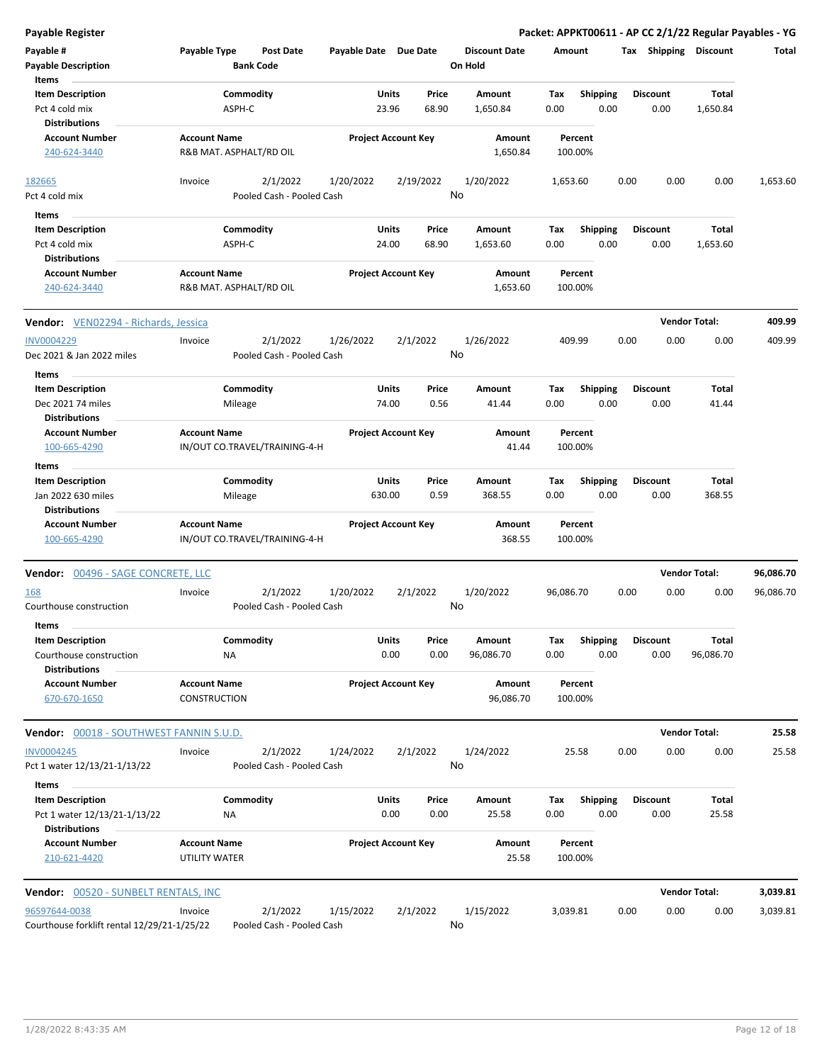| <b>Payable Register</b>                              |                                      |                      |                               |                       |                            |               |                      |             |                         |      |                         |                      | Packet: APPKT00611 - AP CC 2/1/22 Regular Payables - YG |
|------------------------------------------------------|--------------------------------------|----------------------|-------------------------------|-----------------------|----------------------------|---------------|----------------------|-------------|-------------------------|------|-------------------------|----------------------|---------------------------------------------------------|
| Payable #                                            | Payable Type                         |                      | Post Date                     | Payable Date Due Date |                            |               | <b>Discount Date</b> | Amount      |                         |      | Tax Shipping Discount   |                      | Total                                                   |
| <b>Payable Description</b>                           |                                      |                      | <b>Bank Code</b>              |                       |                            |               | On Hold              |             |                         |      |                         |                      |                                                         |
| Items                                                |                                      |                      |                               |                       |                            |               |                      |             |                         |      |                         |                      |                                                         |
| <b>Item Description</b>                              |                                      | Commodity            |                               |                       | Units                      | Price         | Amount               | Tax         | <b>Shipping</b>         |      | <b>Discount</b>         | Total                |                                                         |
| Pct 4 cold mix<br><b>Distributions</b>               |                                      | ASPH-C               |                               |                       | 23.96                      | 68.90         | 1,650.84             | 0.00        | 0.00                    |      | 0.00                    | 1,650.84             |                                                         |
| <b>Account Number</b>                                | <b>Account Name</b>                  |                      |                               |                       | <b>Project Account Key</b> |               | Amount               |             | Percent                 |      |                         |                      |                                                         |
| 240-624-3440                                         | R&B MAT. ASPHALT/RD OIL              |                      |                               |                       |                            |               | 1,650.84             |             | 100.00%                 |      |                         |                      |                                                         |
| 182665                                               | Invoice                              |                      | 2/1/2022                      | 1/20/2022             |                            | 2/19/2022     | 1/20/2022            | 1,653.60    |                         | 0.00 | 0.00                    | 0.00                 | 1,653.60                                                |
| Pct 4 cold mix                                       |                                      |                      | Pooled Cash - Pooled Cash     |                       |                            | No            |                      |             |                         |      |                         |                      |                                                         |
| Items                                                |                                      |                      |                               |                       |                            |               |                      |             |                         |      |                         |                      |                                                         |
| <b>Item Description</b>                              |                                      | Commodity            |                               |                       | Units                      | Price         | Amount               | Tax         | <b>Shipping</b>         |      | <b>Discount</b>         | Total                |                                                         |
| Pct 4 cold mix<br><b>Distributions</b>               |                                      | ASPH-C               |                               |                       | 24.00                      | 68.90         | 1,653.60             | 0.00        | 0.00                    |      | 0.00                    | 1,653.60             |                                                         |
| <b>Account Number</b>                                | <b>Account Name</b>                  |                      |                               |                       | <b>Project Account Key</b> |               | Amount               |             | Percent                 |      |                         |                      |                                                         |
| 240-624-3440                                         | R&B MAT. ASPHALT/RD OIL              |                      |                               |                       |                            |               | 1,653.60             |             | 100.00%                 |      |                         |                      |                                                         |
| Vendor: VEN02294 - Richards, Jessica                 |                                      |                      |                               |                       |                            |               |                      |             |                         |      |                         | <b>Vendor Total:</b> | 409.99                                                  |
| <b>INV0004229</b>                                    | Invoice                              |                      | 2/1/2022                      | 1/26/2022             |                            | 2/1/2022      | 1/26/2022            |             | 409.99                  | 0.00 | 0.00                    | 0.00                 | 409.99                                                  |
| Dec 2021 & Jan 2022 miles                            |                                      |                      | Pooled Cash - Pooled Cash     |                       |                            |               | No                   |             |                         |      |                         |                      |                                                         |
| Items                                                |                                      |                      |                               |                       |                            |               |                      |             |                         |      |                         |                      |                                                         |
| <b>Item Description</b><br>Dec 2021 74 miles         |                                      | Commodity<br>Mileage |                               |                       | Units<br>74.00             | Price<br>0.56 | Amount<br>41.44      | Tax<br>0.00 | <b>Shipping</b><br>0.00 |      | <b>Discount</b><br>0.00 | Total<br>41.44       |                                                         |
| <b>Distributions</b>                                 |                                      |                      |                               |                       |                            |               |                      |             |                         |      |                         |                      |                                                         |
| <b>Account Number</b><br>100-665-4290                | <b>Account Name</b>                  |                      | IN/OUT CO.TRAVEL/TRAINING-4-H |                       | <b>Project Account Key</b> |               | Amount<br>41.44      |             | Percent<br>100.00%      |      |                         |                      |                                                         |
| Items                                                |                                      |                      |                               |                       |                            |               |                      |             |                         |      |                         |                      |                                                         |
| <b>Item Description</b>                              |                                      | Commodity            |                               |                       | Units                      | Price         | Amount               | Tax         | <b>Shipping</b>         |      | <b>Discount</b>         | Total                |                                                         |
| Jan 2022 630 miles                                   |                                      | Mileage              |                               |                       | 630.00                     | 0.59          | 368.55               | 0.00        | 0.00                    |      | 0.00                    | 368.55               |                                                         |
| <b>Distributions</b>                                 |                                      |                      |                               |                       |                            |               |                      |             |                         |      |                         |                      |                                                         |
| <b>Account Number</b>                                | <b>Account Name</b>                  |                      |                               |                       | <b>Project Account Key</b> |               | Amount               |             | Percent                 |      |                         |                      |                                                         |
| 100-665-4290                                         |                                      |                      | IN/OUT CO.TRAVEL/TRAINING-4-H |                       |                            |               | 368.55               |             | 100.00%                 |      |                         |                      |                                                         |
| <b>Vendor: 00496 - SAGE CONCRETE, LLC</b>            |                                      |                      |                               |                       |                            |               |                      |             |                         |      |                         | <b>Vendor Total:</b> | 96,086.70                                               |
| 168                                                  | Invoice                              |                      | 2/1/2022                      | 1/20/2022             |                            | 2/1/2022      | 1/20/2022            | 96,086.70   |                         | 0.00 | 0.00                    | 0.00                 | 96,086.70                                               |
| Courthouse construction                              |                                      |                      | Pooled Cash - Pooled Cash     |                       |                            |               | No                   |             |                         |      |                         |                      |                                                         |
| Items                                                |                                      |                      |                               |                       |                            |               |                      |             |                         |      |                         |                      |                                                         |
| <b>Item Description</b><br>Courthouse construction   |                                      | Commodity<br>NA      |                               |                       | Units<br>0.00              | Price<br>0.00 | Amount<br>96,086.70  | Tax<br>0.00 | Shipping<br>0.00        |      | <b>Discount</b><br>0.00 | Total<br>96,086.70   |                                                         |
| <b>Distributions</b>                                 |                                      |                      |                               |                       |                            |               |                      |             |                         |      |                         |                      |                                                         |
| <b>Account Number</b>                                | <b>Account Name</b>                  |                      |                               |                       | <b>Project Account Key</b> |               | Amount               |             | Percent                 |      |                         |                      |                                                         |
| 670-670-1650                                         | CONSTRUCTION                         |                      |                               |                       |                            |               | 96,086.70            |             | 100.00%                 |      |                         |                      |                                                         |
| Vendor: 00018 - SOUTHWEST FANNIN S.U.D.              |                                      |                      |                               |                       |                            |               |                      |             |                         |      |                         | <b>Vendor Total:</b> | 25.58                                                   |
| <b>INV0004245</b>                                    | Invoice                              |                      | 2/1/2022                      | 1/24/2022             |                            | 2/1/2022      | 1/24/2022            |             | 25.58                   | 0.00 | 0.00                    | 0.00                 | 25.58                                                   |
| Pct 1 water 12/13/21-1/13/22                         |                                      |                      | Pooled Cash - Pooled Cash     |                       |                            |               | No                   |             |                         |      |                         |                      |                                                         |
| Items                                                |                                      |                      |                               |                       |                            |               |                      |             |                         |      |                         |                      |                                                         |
| <b>Item Description</b>                              |                                      | Commodity            |                               |                       | Units                      | Price         | Amount               | Tax         | <b>Shipping</b>         |      | <b>Discount</b>         | Total                |                                                         |
| Pct 1 water 12/13/21-1/13/22<br><b>Distributions</b> |                                      | NA                   |                               |                       | 0.00                       | 0.00          | 25.58                | 0.00        | 0.00                    |      | 0.00                    | 25.58                |                                                         |
| <b>Account Number</b><br>210-621-4420                | <b>Account Name</b><br>UTILITY WATER |                      |                               |                       | <b>Project Account Key</b> |               | Amount<br>25.58      |             | Percent<br>100.00%      |      |                         |                      |                                                         |
| Vendor: 00520 - SUNBELT RENTALS, INC                 |                                      |                      |                               |                       |                            |               |                      |             |                         |      |                         | <b>Vendor Total:</b> | 3,039.81                                                |
| 96597644-0038                                        | Invoice                              |                      | 2/1/2022                      | 1/15/2022             |                            | 2/1/2022      | 1/15/2022            | 3,039.81    |                         | 0.00 | 0.00                    | 0.00                 | 3,039.81                                                |
| Courthouse forklift rental 12/29/21-1/25/22          |                                      |                      | Pooled Cash - Pooled Cash     |                       |                            |               | No                   |             |                         |      |                         |                      |                                                         |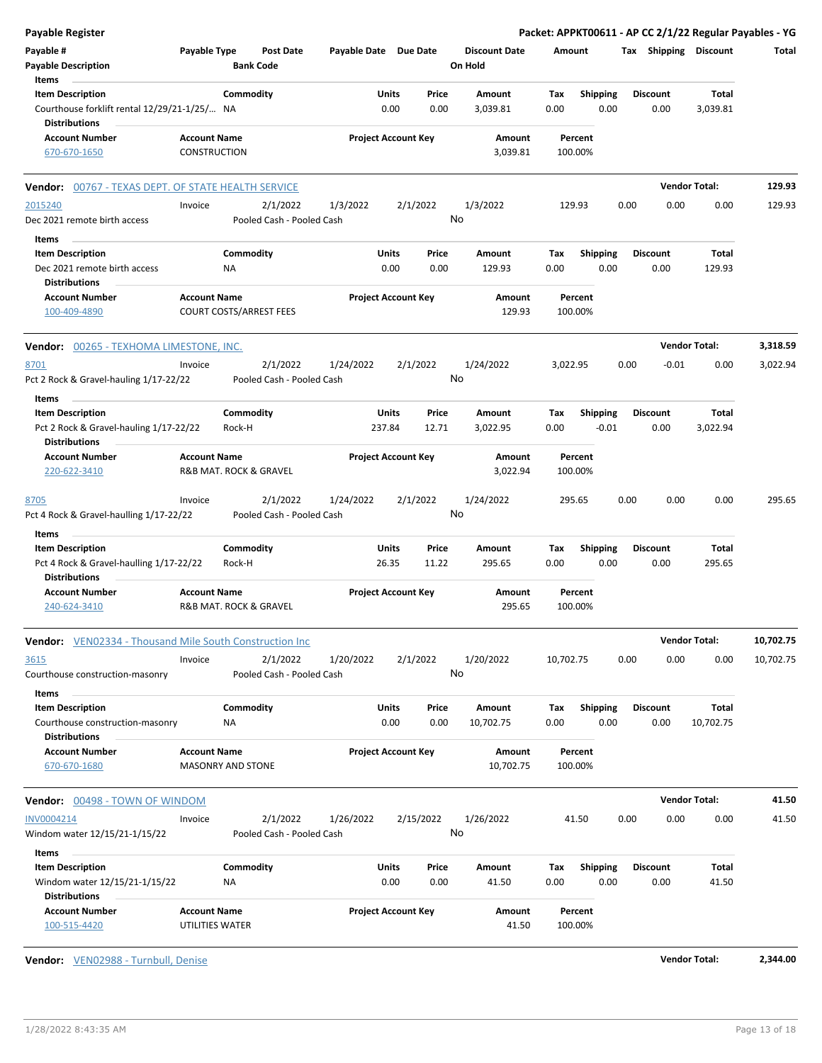| Packet: APPKT00611 - AP CC 2/1/22 Regular Payables - YG |                      |                         |      |                            |                    |                      |                 |                |                            |                       |                                       |                     |                                        | <b>Payable Register</b>                                              |
|---------------------------------------------------------|----------------------|-------------------------|------|----------------------------|--------------------|----------------------|-----------------|----------------|----------------------------|-----------------------|---------------------------------------|---------------------|----------------------------------------|----------------------------------------------------------------------|
| Total                                                   |                      | Tax Shipping Discount   |      |                            | Amount             | <b>Discount Date</b> | On Hold         |                |                            | Payable Date Due Date | <b>Post Date</b><br><b>Bank Code</b>  |                     | Payable Type                           | Payable #<br><b>Payable Description</b>                              |
|                                                         | Total                | <b>Discount</b>         |      | <b>Shipping</b>            | Tax                | Amount               |                 | Price          | Units                      |                       |                                       | Commodity           |                                        | Items<br><b>Item Description</b>                                     |
|                                                         | 3,039.81             | 0.00                    |      | 0.00                       | 0.00               | 3,039.81             |                 | 0.00           | 0.00                       |                       |                                       |                     |                                        | Courthouse forklift rental 12/29/21-1/25/ NA<br><b>Distributions</b> |
|                                                         |                      |                         |      |                            | Percent<br>100.00% | Amount<br>3,039.81   |                 |                | <b>Project Account Key</b> |                       |                                       |                     | <b>Account Name</b><br>CONSTRUCTION    | <b>Account Number</b><br>670-670-1650                                |
| 129.93                                                  | <b>Vendor Total:</b> |                         |      |                            |                    |                      |                 |                |                            |                       |                                       |                     |                                        | <b>Vendor:</b> 00767 - TEXAS DEPT. OF STATE HEALTH SERVICE           |
| 129.93                                                  | 0.00                 | 0.00                    | 0.00 |                            | 129.93             |                      | 1/3/2022        | 2/1/2022       |                            | 1/3/2022              | 2/1/2022                              |                     | Invoice                                | 2015240                                                              |
|                                                         |                      |                         |      |                            |                    |                      | No              |                |                            |                       | Pooled Cash - Pooled Cash             |                     |                                        | Dec 2021 remote birth access                                         |
|                                                         |                      |                         |      |                            |                    |                      |                 |                |                            |                       |                                       |                     |                                        | Items                                                                |
|                                                         | Total                | <b>Discount</b>         |      | <b>Shipping</b>            | Tax                | Amount               |                 | Price          | Units                      |                       |                                       | Commodity           |                                        | <b>Item Description</b>                                              |
|                                                         | 129.93               | 0.00                    |      | 0.00                       | 0.00               | 129.93               |                 | 0.00           | 0.00                       |                       |                                       | ΝA                  |                                        | Dec 2021 remote birth access<br><b>Distributions</b>                 |
|                                                         |                      |                         |      |                            | Percent<br>100.00% | Amount<br>129.93     |                 |                | <b>Project Account Key</b> |                       | <b>COURT COSTS/ARREST FEES</b>        |                     | <b>Account Name</b>                    | <b>Account Number</b><br>100-409-4890                                |
| 3,318.59                                                | <b>Vendor Total:</b> |                         |      |                            |                    |                      |                 |                |                            |                       |                                       |                     |                                        | <b>Vendor: 00265 - TEXHOMA LIMESTONE, INC.</b>                       |
| 3,022.94                                                | 0.00                 | $-0.01$                 | 0.00 |                            | 3,022.95           |                      | 1/24/2022       | 2/1/2022       |                            | 1/24/2022             | 2/1/2022                              |                     | Invoice                                | 8701                                                                 |
|                                                         |                      |                         |      |                            |                    |                      | No              |                |                            |                       | Pooled Cash - Pooled Cash             |                     |                                        | Pct 2 Rock & Gravel-hauling 1/17-22/22                               |
|                                                         |                      |                         |      |                            |                    |                      |                 |                |                            |                       |                                       |                     |                                        | Items                                                                |
|                                                         | Total<br>3,022.94    | <b>Discount</b><br>0.00 |      | <b>Shipping</b><br>$-0.01$ | Tax<br>0.00        | Amount<br>3,022.95   |                 | Price<br>12.71 | Units<br>237.84            |                       |                                       | Commodity<br>Rock-H |                                        | <b>Item Description</b><br>Pct 2 Rock & Gravel-hauling 1/17-22/22    |
|                                                         |                      |                         |      |                            |                    |                      |                 |                |                            |                       |                                       |                     |                                        | Distributions                                                        |
|                                                         |                      |                         |      |                            | Percent<br>100.00% | Amount<br>3,022.94   |                 |                | <b>Project Account Key</b> |                       | R&B MAT. ROCK & GRAVEL                |                     | <b>Account Name</b>                    | <b>Account Number</b><br>220-622-3410                                |
| 295.65                                                  | 0.00                 | 0.00                    | 0.00 |                            | 295.65             |                      | 1/24/2022<br>No | 2/1/2022       |                            | 1/24/2022             | 2/1/2022<br>Pooled Cash - Pooled Cash |                     | Invoice                                | 8705<br>Pct 4 Rock & Gravel-haulling 1/17-22/22                      |
|                                                         |                      |                         |      |                            |                    |                      |                 |                |                            |                       |                                       |                     |                                        | Items                                                                |
|                                                         | Total<br>295.65      | <b>Discount</b><br>0.00 |      | <b>Shipping</b><br>0.00    | Tax<br>0.00        | Amount<br>295.65     |                 | Price<br>11.22 | Units<br>26.35             |                       |                                       | Commodity<br>Rock-H |                                        | <b>Item Description</b><br>Pct 4 Rock & Gravel-haulling 1/17-22/22   |
|                                                         |                      |                         |      |                            |                    |                      |                 |                |                            |                       |                                       |                     |                                        | <b>Distributions</b>                                                 |
|                                                         |                      |                         |      |                            | Percent<br>100.00% | Amount<br>295.65     |                 |                | <b>Project Account Key</b> |                       | R&B MAT. ROCK & GRAVEL                |                     | <b>Account Name</b>                    | <b>Account Number</b><br>240-624-3410                                |
| 10,702.75                                               | <b>Vendor Total:</b> |                         |      |                            |                    |                      |                 |                |                            |                       |                                       |                     |                                        | <b>Vendor:</b> VEN02334 - Thousand Mile South Construction Inc       |
| 10,702.75                                               | 0.00                 | 0.00                    | 0.00 |                            | 10,702.75          |                      | 1/20/2022<br>No | 2/1/2022       |                            | 1/20/2022             | 2/1/2022<br>Pooled Cash - Pooled Cash |                     | Invoice                                | 3615<br>Courthouse construction-masonry                              |
|                                                         | Total                | <b>Discount</b>         |      | Shipping                   | Tax                | Amount               |                 | Price          | Units                      |                       |                                       | Commodity           |                                        | <b>Items</b><br><b>Item Description</b>                              |
|                                                         | 10,702.75            | 0.00                    |      | 0.00                       | 0.00               | 10,702.75            |                 | 0.00           | 0.00                       |                       |                                       | NA                  |                                        | Courthouse construction-masonry<br><b>Distributions</b>              |
|                                                         |                      |                         |      |                            | Percent            | Amount               |                 |                | <b>Project Account Key</b> |                       |                                       |                     | <b>Account Name</b>                    | <b>Account Number</b>                                                |
|                                                         |                      |                         |      |                            | 100.00%            | 10,702.75            |                 |                |                            |                       |                                       |                     | <b>MASONRY AND STONE</b>               | 670-670-1680                                                         |
| 41.50                                                   | <b>Vendor Total:</b> |                         |      |                            |                    |                      |                 |                |                            |                       |                                       |                     |                                        | <b>Vendor: 00498 - TOWN OF WINDOM</b>                                |
| 41.50                                                   | 0.00                 | 0.00                    | 0.00 |                            | 41.50              |                      | 1/26/2022<br>No | 2/15/2022      |                            | 1/26/2022             | 2/1/2022<br>Pooled Cash - Pooled Cash |                     | Invoice                                | INV0004214<br>Windom water 12/15/21-1/15/22                          |
|                                                         |                      |                         |      |                            |                    |                      |                 |                |                            |                       |                                       |                     |                                        | Items                                                                |
|                                                         | Total<br>41.50       | <b>Discount</b><br>0.00 |      | <b>Shipping</b><br>0.00    | Tax<br>0.00        | Amount<br>41.50      |                 | Price<br>0.00  | Units<br>0.00              |                       |                                       | Commodity<br>ΝA     |                                        | <b>Item Description</b><br>Windom water 12/15/21-1/15/22             |
|                                                         |                      |                         |      |                            | Percent<br>100.00% | Amount<br>41.50      |                 |                | <b>Project Account Key</b> |                       |                                       |                     | <b>Account Name</b><br>UTILITIES WATER | <b>Distributions</b><br>Account Number<br>100-515-4420               |

**Vendor:** VEN02988 - Turnbull, Denise **Vendor Total: 2,344.00**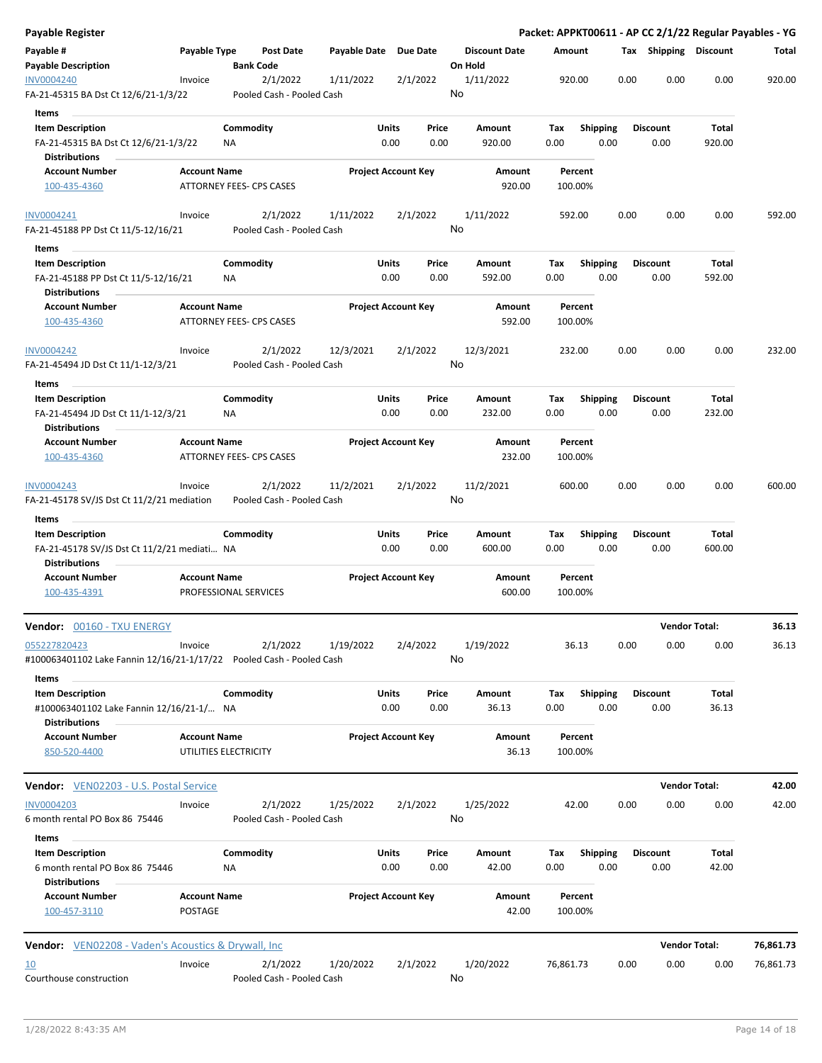| <b>Payable Register</b>                                               |                                 |                  |                           |                       |                            |          |                      |           |                 |      |                       |                      | Packet: APPKT00611 - AP CC 2/1/22 Regular Payables - YG |
|-----------------------------------------------------------------------|---------------------------------|------------------|---------------------------|-----------------------|----------------------------|----------|----------------------|-----------|-----------------|------|-----------------------|----------------------|---------------------------------------------------------|
| Payable #                                                             | Payable Type                    |                  | <b>Post Date</b>          | Payable Date Due Date |                            |          | <b>Discount Date</b> | Amount    |                 |      | Tax Shipping Discount |                      | Total                                                   |
| <b>Payable Description</b>                                            |                                 | <b>Bank Code</b> |                           |                       |                            |          | On Hold              |           |                 |      |                       |                      |                                                         |
| <b>INV0004240</b>                                                     | Invoice                         |                  | 2/1/2022                  | 1/11/2022             |                            | 2/1/2022 | 1/11/2022            |           | 920.00          | 0.00 | 0.00                  | 0.00                 | 920.00                                                  |
| FA-21-45315 BA Dst Ct 12/6/21-1/3/22                                  |                                 |                  | Pooled Cash - Pooled Cash |                       |                            |          | No                   |           |                 |      |                       |                      |                                                         |
| Items                                                                 |                                 |                  |                           |                       |                            |          |                      |           |                 |      |                       |                      |                                                         |
| <b>Item Description</b>                                               |                                 | Commodity        |                           |                       | Units                      | Price    | Amount               | Tax       | <b>Shipping</b> |      | <b>Discount</b>       | Total                |                                                         |
| FA-21-45315 BA Dst Ct 12/6/21-1/3/22                                  |                                 | ΝA               |                           |                       | 0.00                       | 0.00     | 920.00               | 0.00      | 0.00            |      | 0.00                  | 920.00               |                                                         |
| Distributions                                                         |                                 |                  |                           |                       |                            |          |                      |           |                 |      |                       |                      |                                                         |
| <b>Account Number</b>                                                 | <b>Account Name</b>             |                  |                           |                       | <b>Project Account Key</b> |          | Amount               |           | Percent         |      |                       |                      |                                                         |
| 100-435-4360                                                          | ATTORNEY FEES- CPS CASES        |                  |                           |                       |                            |          | 920.00               |           | 100.00%         |      |                       |                      |                                                         |
|                                                                       |                                 |                  |                           |                       |                            |          |                      |           |                 |      |                       |                      |                                                         |
| INV0004241                                                            | Invoice                         |                  | 2/1/2022                  | 1/11/2022             |                            | 2/1/2022 | 1/11/2022            |           | 592.00          | 0.00 | 0.00                  | 0.00                 | 592.00                                                  |
| FA-21-45188 PP Dst Ct 11/5-12/16/21                                   |                                 |                  | Pooled Cash - Pooled Cash |                       |                            |          | No                   |           |                 |      |                       |                      |                                                         |
|                                                                       |                                 |                  |                           |                       |                            |          |                      |           |                 |      |                       |                      |                                                         |
| Items                                                                 |                                 |                  |                           |                       |                            |          |                      |           |                 |      |                       |                      |                                                         |
| <b>Item Description</b>                                               |                                 | Commodity        |                           |                       | Units                      | Price    | Amount               | Tax       | <b>Shipping</b> |      | <b>Discount</b>       | Total                |                                                         |
| FA-21-45188 PP Dst Ct 11/5-12/16/21                                   |                                 | NA               |                           |                       | 0.00                       | 0.00     | 592.00               | 0.00      | 0.00            |      | 0.00                  | 592.00               |                                                         |
| <b>Distributions</b>                                                  |                                 |                  |                           |                       |                            |          |                      |           |                 |      |                       |                      |                                                         |
| <b>Account Number</b>                                                 | <b>Account Name</b>             |                  |                           |                       | <b>Project Account Key</b> |          | Amount               |           | Percent         |      |                       |                      |                                                         |
| 100-435-4360                                                          | <b>ATTORNEY FEES- CPS CASES</b> |                  |                           |                       |                            |          | 592.00               |           | 100.00%         |      |                       |                      |                                                         |
|                                                                       |                                 |                  |                           |                       |                            |          |                      |           |                 |      |                       |                      |                                                         |
| <b>INV0004242</b>                                                     | Invoice                         |                  | 2/1/2022                  | 12/3/2021             |                            | 2/1/2022 | 12/3/2021            |           | 232.00          | 0.00 | 0.00                  | 0.00                 | 232.00                                                  |
| FA-21-45494 JD Dst Ct 11/1-12/3/21                                    |                                 |                  | Pooled Cash - Pooled Cash |                       |                            |          | No                   |           |                 |      |                       |                      |                                                         |
| Items                                                                 |                                 |                  |                           |                       |                            |          |                      |           |                 |      |                       |                      |                                                         |
| <b>Item Description</b>                                               |                                 | Commodity        |                           |                       | Units                      | Price    | Amount               | Tax       | <b>Shipping</b> |      | <b>Discount</b>       | Total                |                                                         |
| FA-21-45494 JD Dst Ct 11/1-12/3/21                                    |                                 | NA               |                           |                       | 0.00                       | 0.00     | 232.00               | 0.00      | 0.00            |      | 0.00                  | 232.00               |                                                         |
| <b>Distributions</b>                                                  |                                 |                  |                           |                       |                            |          |                      |           |                 |      |                       |                      |                                                         |
| <b>Account Number</b>                                                 | <b>Account Name</b>             |                  |                           |                       | <b>Project Account Key</b> |          | Amount               |           | Percent         |      |                       |                      |                                                         |
| 100-435-4360                                                          | ATTORNEY FEES- CPS CASES        |                  |                           |                       |                            |          | 232.00               |           | 100.00%         |      |                       |                      |                                                         |
|                                                                       |                                 |                  |                           |                       |                            |          |                      |           |                 |      |                       |                      |                                                         |
| INV0004243                                                            | Invoice                         |                  | 2/1/2022                  | 11/2/2021             |                            | 2/1/2022 | 11/2/2021            |           | 600.00          | 0.00 | 0.00                  | 0.00                 | 600.00                                                  |
| FA-21-45178 SV/JS Dst Ct 11/2/21 mediation                            |                                 |                  | Pooled Cash - Pooled Cash |                       |                            |          | No                   |           |                 |      |                       |                      |                                                         |
|                                                                       |                                 |                  |                           |                       |                            |          |                      |           |                 |      |                       |                      |                                                         |
| Items                                                                 |                                 |                  |                           |                       |                            |          |                      |           |                 |      |                       |                      |                                                         |
| <b>Item Description</b>                                               |                                 | Commodity        |                           |                       | Units                      | Price    | Amount               | Tax       | <b>Shipping</b> |      | Discount              | Total                |                                                         |
| FA-21-45178 SV/JS Dst Ct 11/2/21 mediati NA                           |                                 |                  |                           |                       | 0.00                       | 0.00     | 600.00               | 0.00      | 0.00            |      | 0.00                  | 600.00               |                                                         |
| <b>Distributions</b>                                                  |                                 |                  |                           |                       |                            |          |                      |           |                 |      |                       |                      |                                                         |
| <b>Account Number</b>                                                 | <b>Account Name</b>             |                  |                           |                       | <b>Project Account Key</b> |          | Amount               |           | Percent         |      |                       |                      |                                                         |
| 100-435-4391                                                          | PROFESSIONAL SERVICES           |                  |                           |                       |                            |          | 600.00               |           | 100.00%         |      |                       |                      |                                                         |
|                                                                       |                                 |                  |                           |                       |                            |          |                      |           |                 |      |                       |                      |                                                         |
| <b>Vendor: 00160 - TXU ENERGY</b>                                     |                                 |                  |                           |                       |                            |          |                      |           |                 |      |                       | <b>Vendor Total:</b> | 36.13                                                   |
| 055227820423                                                          | Invoice                         |                  | 2/1/2022                  | 1/19/2022             |                            | 2/4/2022 | 1/19/2022            |           | 36.13           | 0.00 | 0.00                  | 0.00                 | 36.13                                                   |
| #100063401102 Lake Fannin 12/16/21-1/17/22  Pooled Cash - Pooled Cash |                                 |                  |                           |                       |                            |          | No                   |           |                 |      |                       |                      |                                                         |
|                                                                       |                                 |                  |                           |                       |                            |          |                      |           |                 |      |                       |                      |                                                         |
| Items                                                                 |                                 |                  |                           |                       |                            |          |                      |           |                 |      |                       |                      |                                                         |
| <b>Item Description</b>                                               |                                 | Commodity        |                           |                       | Units                      | Price    | Amount               | Tax       | <b>Shipping</b> |      | <b>Discount</b>       | Total                |                                                         |
| #100063401102 Lake Fannin 12/16/21-1/ NA                              |                                 |                  |                           |                       | 0.00                       | 0.00     | 36.13                | 0.00      | 0.00            |      | 0.00                  | 36.13                |                                                         |
| <b>Distributions</b>                                                  |                                 |                  |                           |                       |                            |          |                      |           |                 |      |                       |                      |                                                         |
| <b>Account Number</b>                                                 | <b>Account Name</b>             |                  |                           |                       | <b>Project Account Key</b> |          | Amount               |           | Percent         |      |                       |                      |                                                         |
| 850-520-4400                                                          | UTILITIES ELECTRICITY           |                  |                           |                       |                            |          | 36.13                |           | 100.00%         |      |                       |                      |                                                         |
|                                                                       |                                 |                  |                           |                       |                            |          |                      |           |                 |      |                       |                      |                                                         |
| Vendor: VEN02203 - U.S. Postal Service                                |                                 |                  |                           |                       |                            |          |                      |           |                 |      |                       | <b>Vendor Total:</b> | 42.00                                                   |
| <b>INV0004203</b>                                                     | Invoice                         |                  | 2/1/2022                  | 1/25/2022             |                            | 2/1/2022 | 1/25/2022            |           | 42.00           | 0.00 | 0.00                  | 0.00                 | 42.00                                                   |
| 6 month rental PO Box 86 75446                                        |                                 |                  | Pooled Cash - Pooled Cash |                       |                            |          | No                   |           |                 |      |                       |                      |                                                         |
|                                                                       |                                 |                  |                           |                       |                            |          |                      |           |                 |      |                       |                      |                                                         |
| Items                                                                 |                                 |                  |                           |                       |                            |          |                      |           |                 |      |                       |                      |                                                         |
| <b>Item Description</b>                                               |                                 | Commodity        |                           |                       | Units                      | Price    | Amount               | Тах       | <b>Shipping</b> |      | <b>Discount</b>       | Total                |                                                         |
| 6 month rental PO Box 86 75446                                        |                                 | ΝA               |                           |                       | 0.00                       | 0.00     | 42.00                | 0.00      | 0.00            |      | 0.00                  | 42.00                |                                                         |
| Distributions                                                         |                                 |                  |                           |                       |                            |          |                      |           |                 |      |                       |                      |                                                         |
| <b>Account Number</b>                                                 | <b>Account Name</b>             |                  |                           |                       | <b>Project Account Key</b> |          | Amount               |           | Percent         |      |                       |                      |                                                         |
| 100-457-3110                                                          | <b>POSTAGE</b>                  |                  |                           |                       |                            |          | 42.00                |           | 100.00%         |      |                       |                      |                                                         |
|                                                                       |                                 |                  |                           |                       |                            |          |                      |           |                 |      |                       |                      |                                                         |
| <b>Vendor:</b> VEN02208 - Vaden's Acoustics & Drywall, Inc            |                                 |                  |                           |                       |                            |          |                      |           |                 |      |                       | <b>Vendor Total:</b> | 76,861.73                                               |
| 10                                                                    | Invoice                         |                  | 2/1/2022                  | 1/20/2022             |                            | 2/1/2022 | 1/20/2022            | 76,861.73 |                 | 0.00 | 0.00                  | 0.00                 | 76,861.73                                               |
| Courthouse construction                                               |                                 |                  | Pooled Cash - Pooled Cash |                       |                            |          | No                   |           |                 |      |                       |                      |                                                         |
|                                                                       |                                 |                  |                           |                       |                            |          |                      |           |                 |      |                       |                      |                                                         |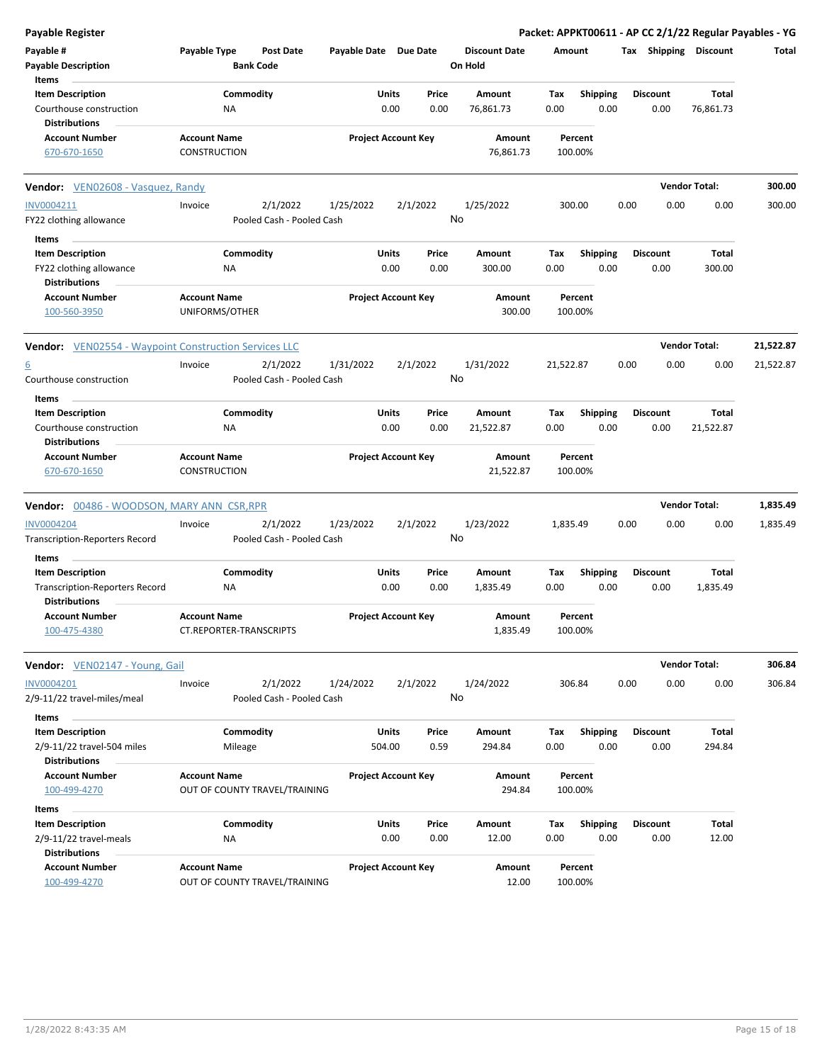| <b>Payable Register</b>                                          |                                       |                                      |                       |                            |                                 |                    |                         |      |                         |                       | Packet: APPKT00611 - AP CC 2/1/22 Regular Payables - YG |
|------------------------------------------------------------------|---------------------------------------|--------------------------------------|-----------------------|----------------------------|---------------------------------|--------------------|-------------------------|------|-------------------------|-----------------------|---------------------------------------------------------|
| Payable #<br><b>Payable Description</b>                          | Payable Type                          | <b>Post Date</b><br><b>Bank Code</b> | Payable Date Due Date |                            | <b>Discount Date</b><br>On Hold | Amount             |                         |      |                         | Tax Shipping Discount | Total                                                   |
| Items<br><b>Item Description</b>                                 |                                       | Commodity                            | Units                 | Price                      | Amount                          | Tax                | <b>Shipping</b>         |      | <b>Discount</b>         | Total                 |                                                         |
| Courthouse construction                                          | ΝA                                    |                                      |                       | 0.00<br>0.00               | 76,861.73                       | 0.00               | 0.00                    |      | 0.00                    | 76,861.73             |                                                         |
| <b>Distributions</b>                                             |                                       |                                      |                       |                            |                                 |                    |                         |      |                         |                       |                                                         |
| <b>Account Number</b>                                            | <b>Account Name</b>                   |                                      |                       | <b>Project Account Key</b> | Amount                          | Percent            |                         |      |                         |                       |                                                         |
| 670-670-1650                                                     | <b>CONSTRUCTION</b>                   |                                      |                       |                            | 76,861.73                       | 100.00%            |                         |      |                         |                       |                                                         |
| <b>Vendor:</b> VEN02608 - Vasquez, Randy                         |                                       |                                      |                       |                            |                                 |                    |                         |      |                         | <b>Vendor Total:</b>  | 300.00                                                  |
| INV0004211                                                       | Invoice                               | 2/1/2022                             | 1/25/2022             | 2/1/2022                   | 1/25/2022                       | 300.00             |                         | 0.00 | 0.00                    | 0.00                  | 300.00                                                  |
| FY22 clothing allowance                                          |                                       | Pooled Cash - Pooled Cash            |                       |                            | No                              |                    |                         |      |                         |                       |                                                         |
| Items                                                            |                                       |                                      | Units                 |                            |                                 |                    |                         |      |                         | Total                 |                                                         |
| <b>Item Description</b><br>FY22 clothing allowance               | ΝA                                    | Commodity                            |                       | Price<br>0.00<br>0.00      | Amount<br>300.00                | Tax<br>0.00        | <b>Shipping</b><br>0.00 |      | <b>Discount</b><br>0.00 | 300.00                |                                                         |
| <b>Distributions</b>                                             |                                       |                                      |                       |                            |                                 |                    |                         |      |                         |                       |                                                         |
| <b>Account Number</b><br>100-560-3950                            | <b>Account Name</b><br>UNIFORMS/OTHER |                                      |                       | <b>Project Account Key</b> | Amount<br>300.00                | Percent<br>100.00% |                         |      |                         |                       |                                                         |
| <b>Vendor:</b> VEN02554 - Waypoint Construction Services LLC     |                                       |                                      |                       |                            |                                 |                    |                         |      |                         | <b>Vendor Total:</b>  | 21,522.87                                               |
| $\underline{6}$                                                  | Invoice                               | 2/1/2022                             | 1/31/2022             | 2/1/2022                   | 1/31/2022                       | 21,522.87          |                         | 0.00 | 0.00                    | 0.00                  | 21,522.87                                               |
| Courthouse construction                                          |                                       | Pooled Cash - Pooled Cash            |                       |                            | No                              |                    |                         |      |                         |                       |                                                         |
| Items                                                            |                                       |                                      |                       |                            |                                 |                    |                         |      |                         |                       |                                                         |
| <b>Item Description</b>                                          |                                       | Commodity                            | Units                 | Price                      | Amount                          | Tax                | <b>Shipping</b>         |      | <b>Discount</b>         | Total                 |                                                         |
| Courthouse construction<br><b>Distributions</b>                  | ΝA                                    |                                      |                       | 0.00<br>0.00               | 21,522.87                       | 0.00               | 0.00                    |      | 0.00                    | 21,522.87             |                                                         |
| <b>Account Number</b>                                            | <b>Account Name</b>                   |                                      |                       | <b>Project Account Key</b> | Amount                          | Percent            |                         |      |                         |                       |                                                         |
| 670-670-1650                                                     | <b>CONSTRUCTION</b>                   |                                      |                       |                            | 21,522.87                       | 100.00%            |                         |      |                         |                       |                                                         |
| <b>Vendor: 00486 - WOODSON, MARY ANN CSR, RPR</b>                |                                       |                                      |                       |                            |                                 |                    |                         |      |                         | <b>Vendor Total:</b>  | 1,835.49                                                |
| INV0004204                                                       | Invoice                               | 2/1/2022                             | 1/23/2022             | 2/1/2022                   | 1/23/2022                       | 1,835.49           |                         | 0.00 | 0.00                    | 0.00                  | 1,835.49                                                |
| <b>Transcription-Reporters Record</b>                            |                                       | Pooled Cash - Pooled Cash            |                       |                            | No                              |                    |                         |      |                         |                       |                                                         |
| Items                                                            |                                       |                                      |                       |                            |                                 |                    |                         |      |                         |                       |                                                         |
| <b>Item Description</b><br><b>Transcription-Reporters Record</b> | ΝA                                    | Commodity                            | Units                 | Price<br>0.00<br>0.00      | Amount<br>1,835.49              | Tax<br>0.00        | <b>Shipping</b><br>0.00 |      | <b>Discount</b><br>0.00 | Total<br>1,835.49     |                                                         |
| <b>Distributions</b><br><b>Account Number</b>                    | <b>Account Name</b>                   |                                      |                       |                            | Amount                          | Percent            |                         |      |                         |                       |                                                         |
| 100-475-4380                                                     | CT.REPORTER-TRANSCRIPTS               |                                      |                       | <b>Project Account Key</b> | 1,835.49                        | 100.00%            |                         |      |                         |                       |                                                         |
| Vendor: VEN02147 - Young, Gail                                   |                                       |                                      |                       |                            |                                 |                    |                         |      |                         | <b>Vendor Total:</b>  | 306.84                                                  |
| INV0004201                                                       | Invoice                               | 2/1/2022                             | 1/24/2022             | 2/1/2022                   | 1/24/2022                       | 306.84             |                         | 0.00 | 0.00                    | 0.00                  | 306.84                                                  |
| 2/9-11/22 travel-miles/meal                                      |                                       | Pooled Cash - Pooled Cash            |                       |                            | No                              |                    |                         |      |                         |                       |                                                         |
| Items                                                            |                                       |                                      |                       |                            |                                 |                    |                         |      |                         |                       |                                                         |
| <b>Item Description</b>                                          |                                       | Commodity                            | Units                 | Price                      | Amount                          | Tax                | <b>Shipping</b>         |      | <b>Discount</b>         | Total                 |                                                         |
| 2/9-11/22 travel-504 miles                                       |                                       | Mileage                              | 504.00                | 0.59                       | 294.84                          | 0.00               | 0.00                    |      | 0.00                    | 294.84                |                                                         |
| <b>Distributions</b>                                             |                                       |                                      |                       |                            |                                 |                    |                         |      |                         |                       |                                                         |
| <b>Account Number</b><br>100-499-4270                            | <b>Account Name</b>                   | OUT OF COUNTY TRAVEL/TRAINING        |                       | <b>Project Account Key</b> | Amount<br>294.84                | Percent<br>100.00% |                         |      |                         |                       |                                                         |
|                                                                  |                                       |                                      |                       |                            |                                 |                    |                         |      |                         |                       |                                                         |
| Items<br><b>Item Description</b>                                 |                                       | Commodity                            | Units                 | Price                      | Amount                          | Tax                | <b>Shipping</b>         |      | Discount                | Total                 |                                                         |
| 2/9-11/22 travel-meals                                           | ΝA                                    |                                      |                       | 0.00<br>0.00               | 12.00                           | 0.00               | 0.00                    |      | 0.00                    | 12.00                 |                                                         |
| <b>Distributions</b>                                             |                                       |                                      |                       |                            |                                 |                    |                         |      |                         |                       |                                                         |
| <b>Account Number</b><br>100-499-4270                            | <b>Account Name</b>                   | OUT OF COUNTY TRAVEL/TRAINING        |                       | <b>Project Account Key</b> | Amount<br>12.00                 | Percent<br>100.00% |                         |      |                         |                       |                                                         |
|                                                                  |                                       |                                      |                       |                            |                                 |                    |                         |      |                         |                       |                                                         |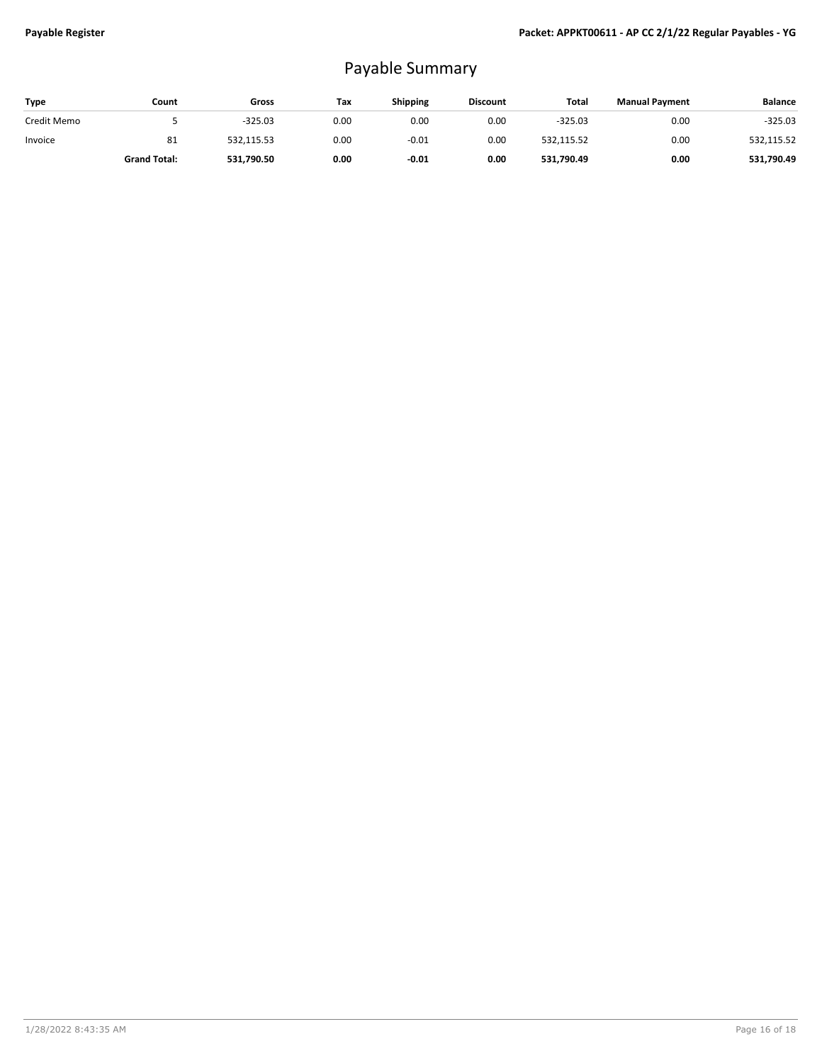## Payable Summary

| Type        | Count               | Gross      | Tax  | <b>Shipping</b> | <b>Discount</b> | Total      | <b>Manual Payment</b> | <b>Balance</b> |
|-------------|---------------------|------------|------|-----------------|-----------------|------------|-----------------------|----------------|
| Credit Memo |                     | $-325.03$  | 0.00 | 0.00            | 0.00            | $-325.03$  | 0.00                  | $-325.03$      |
| Invoice     | 81                  | 532,115.53 | 0.00 | $-0.01$         | 0.00            | 532,115.52 | 0.00                  | 532,115.52     |
|             | <b>Grand Total:</b> | 531,790.50 | 0.00 | $-0.01$         | 0.00            | 531,790.49 | 0.00                  | 531.790.49     |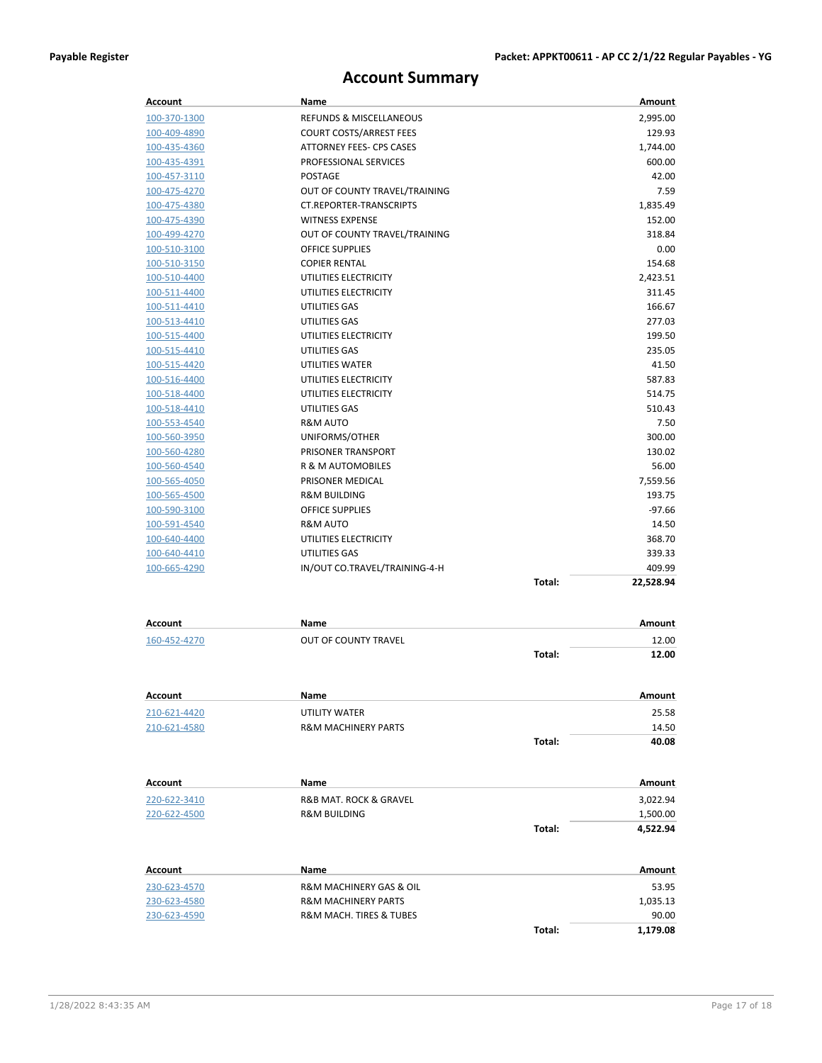## **Account Summary**

| Account        | Name                               |        | Amount        |
|----------------|------------------------------------|--------|---------------|
| 100-370-1300   | <b>REFUNDS &amp; MISCELLANEOUS</b> |        | 2,995.00      |
| 100-409-4890   | COURT COSTS/ARREST FEES            |        | 129.93        |
| 100-435-4360   | ATTORNEY FEES- CPS CASES           |        | 1,744.00      |
| 100-435-4391   | PROFESSIONAL SERVICES              |        | 600.00        |
| 100-457-3110   | POSTAGE                            |        | 42.00         |
| 100-475-4270   | OUT OF COUNTY TRAVEL/TRAINING      |        | 7.59          |
| 100-475-4380   | CT.REPORTER-TRANSCRIPTS            |        | 1,835.49      |
| 100-475-4390   | <b>WITNESS EXPENSE</b>             |        | 152.00        |
| 100-499-4270   | OUT OF COUNTY TRAVEL/TRAINING      |        | 318.84        |
| 100-510-3100   | <b>OFFICE SUPPLIES</b>             |        | 0.00          |
| 100-510-3150   | <b>COPIER RENTAL</b>               |        | 154.68        |
| 100-510-4400   | UTILITIES ELECTRICITY              |        | 2,423.51      |
| 100-511-4400   | UTILITIES ELECTRICITY              |        | 311.45        |
| 100-511-4410   | UTILITIES GAS                      |        | 166.67        |
| 100-513-4410   | UTILITIES GAS                      |        | 277.03        |
| 100-515-4400   | UTILITIES ELECTRICITY              |        | 199.50        |
| 100-515-4410   | UTILITIES GAS                      |        | 235.05        |
| 100-515-4420   | UTILITIES WATER                    |        | 41.50         |
| 100-516-4400   | UTILITIES ELECTRICITY              |        | 587.83        |
| 100-518-4400   | UTILITIES ELECTRICITY              |        | 514.75        |
| 100-518-4410   | UTILITIES GAS                      |        | 510.43        |
| 100-553-4540   | R&M AUTO                           |        | 7.50          |
| 100-560-3950   | UNIFORMS/OTHER                     |        | 300.00        |
| 100-560-4280   | PRISONER TRANSPORT                 |        | 130.02        |
| 100-560-4540   | <b>R &amp; M AUTOMOBILES</b>       |        | 56.00         |
| 100-565-4050   | PRISONER MEDICAL                   |        | 7,559.56      |
| 100-565-4500   | <b>R&amp;M BUILDING</b>            |        | 193.75        |
| 100-590-3100   | <b>OFFICE SUPPLIES</b>             |        | $-97.66$      |
| 100-591-4540   | R&M AUTO                           |        | 14.50         |
| 100-640-4400   | UTILITIES ELECTRICITY              |        | 368.70        |
| 100-640-4410   | UTILITIES GAS                      |        | 339.33        |
| 100-665-4290   | IN/OUT CO.TRAVEL/TRAINING-4-H      |        | 409.99        |
|                |                                    | Total: | 22,528.94     |
|                |                                    |        |               |
| Account        | Name                               |        | Amount        |
| 160-452-4270   | OUT OF COUNTY TRAVEL               |        | 12.00         |
|                |                                    | Total: | 12.00         |
|                |                                    |        |               |
| <u>Account</u> | Name                               |        | <u>Amount</u> |
| 210-621-4420   | UTILITY WATER                      |        | 25.58         |
| 210-621-4580   | <b>R&amp;M MACHINERY PARTS</b>     |        | 14.50         |
|                |                                    | Total: | 40.08         |
|                |                                    |        |               |
| Account        | Name                               |        | Amount        |
| 220-622-3410   | R&B MAT. ROCK & GRAVEL             |        | 3,022.94      |
| 220-622-4500   | <b>R&amp;M BUILDING</b>            |        | 1,500.00      |
|                |                                    | Total: | 4,522.94      |
|                |                                    |        |               |
| Account        | Name                               |        | Amount        |
| 230-623-4570   | R&M MACHINERY GAS & OIL            |        | 53.95         |
| 230-623-4580   | <b>R&amp;M MACHINERY PARTS</b>     |        | 1,035.13      |
| 230-623-4590   | R&M MACH. TIRES & TUBES            |        | 90.00         |
|                |                                    | Total: | 1,179.08      |